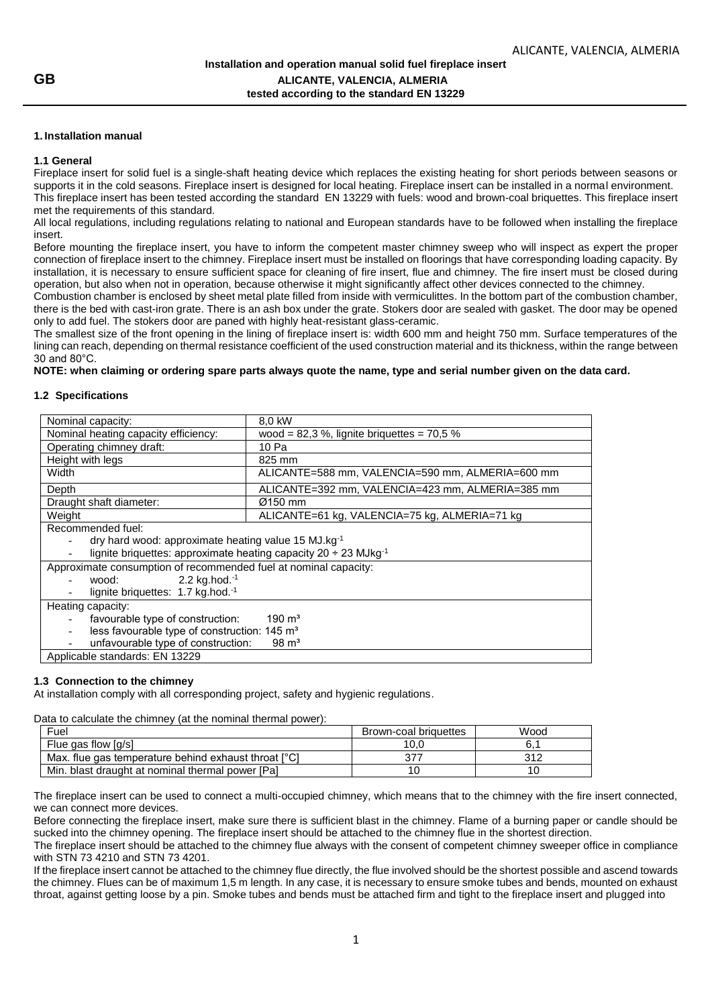## **1. Installation manual**

### **1.1 General**

Fireplace insert for solid fuel is a single-shaft heating device which replaces the existing heating for short periods between seasons or supports it in the cold seasons. Fireplace insert is designed for local heating. Fireplace insert can be installed in a normal environment. This fireplace insert has been tested according the standard EN 13229 with fuels: wood and brown-coal briquettes. This fireplace insert met the requirements of this standard.

All local regulations, including regulations relating to national and European standards have to be followed when installing the fireplace insert.

Before mounting the fireplace insert, you have to inform the competent master chimney sweep who will inspect as expert the proper connection of fireplace insert to the chimney. Fireplace insert must be installed on floorings that have corresponding loading capacity. By installation, it is necessary to ensure sufficient space for cleaning of fire insert, flue and chimney. The fire insert must be closed during operation, but also when not in operation, because otherwise it might significantly affect other devices connected to the chimney.

Combustion chamber is enclosed by sheet metal plate filled from inside with vermiculittes. In the bottom part of the combustion chamber, there is the bed with cast-iron grate. There is an ash box under the grate. Stokers door are sealed with gasket. The door may be opened only to add fuel. The stokers door are paned with highly heat-resistant glass-ceramic.

The smallest size of the front opening in the lining of fireplace insert is: width 600 mm and height 750 mm. Surface temperatures of the lining can reach, depending on thermal resistance coefficient of the used construction material and its thickness, within the range between 30 and 80°C.

**NOTE: when claiming or ordering spare parts always quote the name, type and serial number given on the data card.**

### **1.2 Specifications**

| Nominal capacity:                                                                      | 8.0 kW                                           |  |
|----------------------------------------------------------------------------------------|--------------------------------------------------|--|
| Nominal heating capacity efficiency:<br>wood = $82,3$ %, lignite briquettes = $70,5$ % |                                                  |  |
| Operating chimney draft:                                                               | 10 Pa                                            |  |
| Height with legs                                                                       | 825 mm                                           |  |
| Width                                                                                  | ALICANTE=588 mm, VALENCIA=590 mm, ALMERIA=600 mm |  |
| Depth                                                                                  | ALICANTE=392 mm, VALENCIA=423 mm, ALMERIA=385 mm |  |
| Draught shaft diameter:                                                                | Ø150 mm                                          |  |
| Weight                                                                                 | ALICANTE=61 kg, VALENCIA=75 kg, ALMERIA=71 kg    |  |
| Recommended fuel:                                                                      |                                                  |  |
| dry hard wood: approximate heating value 15 MJ.kg <sup>-1</sup>                        |                                                  |  |
| lignite briquettes: approximate heating capacity $20 \div 23$ MJkg <sup>-1</sup>       |                                                  |  |
| Approximate consumption of recommended fuel at nominal capacity:                       |                                                  |  |
| 2.2 kg.hod. $^{-1}$<br>wood:                                                           |                                                  |  |
| lignite briquettes: 1.7 kg.hod. <sup>-1</sup>                                          |                                                  |  |
| Heating capacity:                                                                      |                                                  |  |
| $190 \text{ m}^3$<br>favourable type of construction:                                  |                                                  |  |
| less favourable type of construction: 145 m <sup>3</sup>                               |                                                  |  |
| unfavourable type of construction:<br>$98 \text{ m}^3$                                 |                                                  |  |
| Applicable standards: EN 13229                                                         |                                                  |  |

### **1.3 Connection to the chimney**

At installation comply with all corresponding project, safety and hygienic regulations.

Data to calculate the chimney (at the nominal thermal power):

| Fuel                                                 | Brown-coal briguettes | Wood |
|------------------------------------------------------|-----------------------|------|
| Flue gas flow [g/s]                                  | 10.C                  |      |
| Max. flue gas temperature behind exhaust throat [°C] | 377                   | 212  |
| Min. blast draught at nominal thermal power [Pa]     |                       |      |

The fireplace insert can be used to connect a multi-occupied chimney, which means that to the chimney with the fire insert connected, we can connect more devices.

Before connecting the fireplace insert, make sure there is sufficient blast in the chimney. Flame of a burning paper or candle should be sucked into the chimney opening. The fireplace insert should be attached to the chimney flue in the shortest direction.

The fireplace insert should be attached to the chimney flue always with the consent of competent chimney sweeper office in compliance with STN 73 4210 and STN 73 4201.

If the fireplace insert cannot be attached to the chimney flue directly, the flue involved should be the shortest possible and ascend towards the chimney. Flues can be of maximum 1,5 m length. In any case, it is necessary to ensure smoke tubes and bends, mounted on exhaust throat, against getting loose by a pin. Smoke tubes and bends must be attached firm and tight to the fireplace insert and plugged into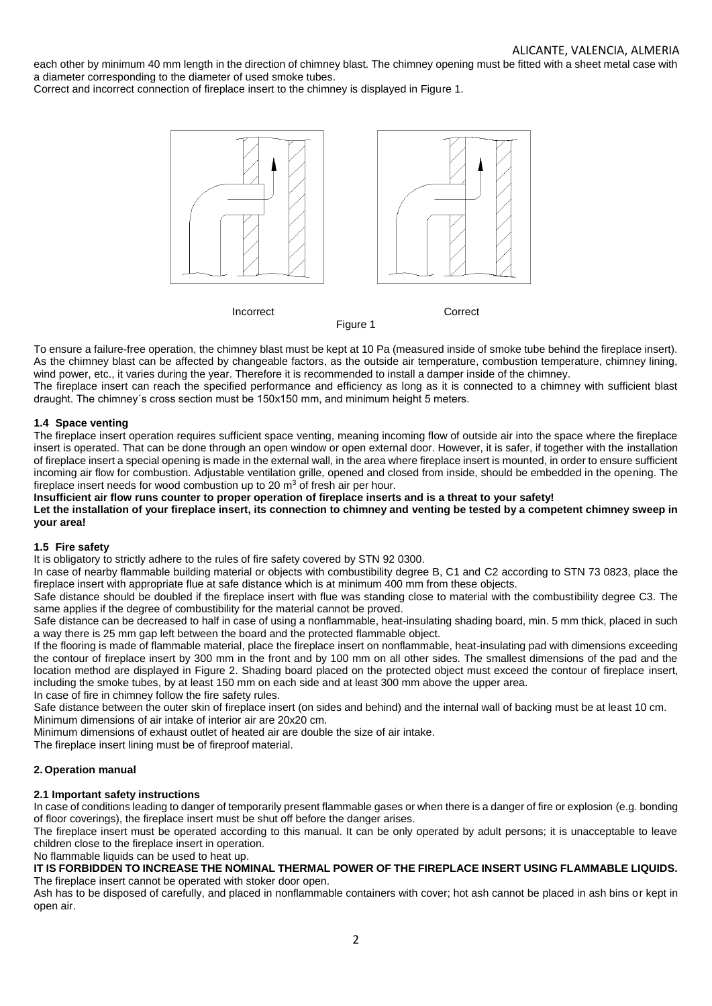each other by minimum 40 mm length in the direction of chimney blast. The chimney opening must be fitted with a sheet metal case with a diameter corresponding to the diameter of used smoke tubes.

Correct and incorrect connection of fireplace insert to the chimney is displayed in Figure 1.



To ensure a failure-free operation, the chimney blast must be kept at 10 Pa (measured inside of smoke tube behind the fireplace insert). As the chimney blast can be affected by changeable factors, as the outside air temperature, combustion temperature, chimney lining, wind power, etc., it varies during the year. Therefore it is recommended to install a damper inside of the chimney.

The fireplace insert can reach the specified performance and efficiency as long as it is connected to a chimney with sufficient blast draught. The chimney´s cross section must be 150x150 mm, and minimum height 5 meters.

## **1.4 Space venting**

The fireplace insert operation requires sufficient space venting, meaning incoming flow of outside air into the space where the fireplace insert is operated. That can be done through an open window or open external door. However, it is safer, if together with the installation of fireplace insert a special opening is made in the external wall, in the area where fireplace insert is mounted, in order to ensure sufficient incoming air flow for combustion. Adjustable ventilation grille, opened and closed from inside, should be embedded in the opening. The fireplace insert needs for wood combustion up to 20  $m<sup>3</sup>$  of fresh air per hour.

# **Insufficient air flow runs counter to proper operation of fireplace inserts and is a threat to your safety!**

**Let the installation of your fireplace insert, its connection to chimney and venting be tested by a competent chimney sweep in your area!**

### **1.5 Fire safety**

It is obligatory to strictly adhere to the rules of fire safety covered by STN 92 0300.

In case of nearby flammable building material or objects with combustibility degree B, C1 and C2 according to STN 73 0823, place the fireplace insert with appropriate flue at safe distance which is at minimum 400 mm from these objects.

Safe distance should be doubled if the fireplace insert with flue was standing close to material with the combustibility degree C3. The same applies if the degree of combustibility for the material cannot be proved.

Safe distance can be decreased to half in case of using a nonflammable, heat-insulating shading board, min. 5 mm thick, placed in such a way there is 25 mm gap left between the board and the protected flammable object.

If the flooring is made of flammable material, place the fireplace insert on nonflammable, heat-insulating pad with dimensions exceeding the contour of fireplace insert by 300 mm in the front and by 100 mm on all other sides. The smallest dimensions of the pad and the location method are displayed in Figure 2. Shading board placed on the protected object must exceed the contour of fireplace insert, including the smoke tubes, by at least 150 mm on each side and at least 300 mm above the upper area.

In case of fire in chimney follow the fire safety rules.

Safe distance between the outer skin of fireplace insert (on sides and behind) and the internal wall of backing must be at least 10 cm. Minimum dimensions of air intake of interior air are 20x20 cm.

Minimum dimensions of exhaust outlet of heated air are double the size of air intake.

The fireplace insert lining must be of fireproof material.

## **2. Operation manual**

### **2.1 Important safety instructions**

In case of conditions leading to danger of temporarily present flammable gases or when there is a danger of fire or explosion (e.g. bonding of floor coverings), the fireplace insert must be shut off before the danger arises.

The fireplace insert must be operated according to this manual. It can be only operated by adult persons; it is unacceptable to leave children close to the fireplace insert in operation.

No flammable liquids can be used to heat up.

### **IT IS FORBIDDEN TO INCREASE THE NOMINAL THERMAL POWER OF THE FIREPLACE INSERT USING FLAMMABLE LIQUIDS.** The fireplace insert cannot be operated with stoker door open.

Ash has to be disposed of carefully, and placed in nonflammable containers with cover; hot ash cannot be placed in ash bins or kept in open air.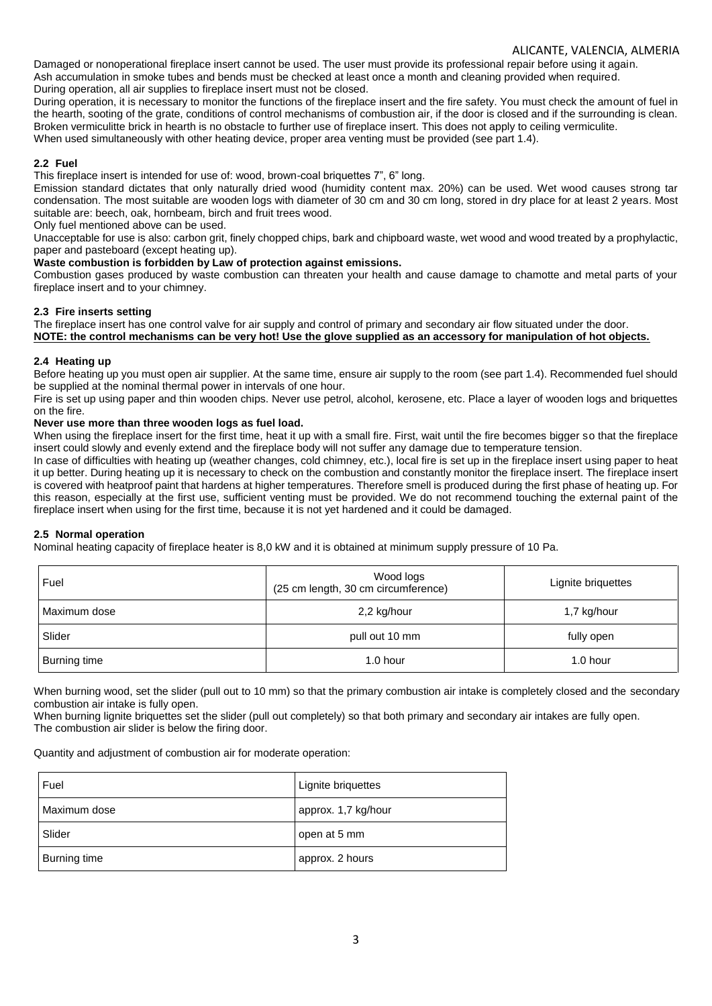## ALICANTE, VALENCIA, ALMERIA

Damaged or nonoperational fireplace insert cannot be used. The user must provide its professional repair before using it again. Ash accumulation in smoke tubes and bends must be checked at least once a month and cleaning provided when required. During operation, all air supplies to fireplace insert must not be closed.

During operation, it is necessary to monitor the functions of the fireplace insert and the fire safety. You must check the amount of fuel in the hearth, sooting of the grate, conditions of control mechanisms of combustion air, if the door is closed and if the surrounding is clean. Broken vermiculitte brick in hearth is no obstacle to further use of fireplace insert. This does not apply to ceiling vermiculite. When used simultaneously with other heating device, proper area venting must be provided (see part 1.4).

## **2.2 Fuel**

This fireplace insert is intended for use of: wood, brown-coal briquettes 7", 6" long.

Emission standard dictates that only naturally dried wood (humidity content max. 20%) can be used. Wet wood causes strong tar condensation. The most suitable are wooden logs with diameter of 30 cm and 30 cm long, stored in dry place for at least 2 years. Most suitable are: beech, oak, hornbeam, birch and fruit trees wood.

Only fuel mentioned above can be used.

Unacceptable for use is also: carbon grit, finely chopped chips, bark and chipboard waste, wet wood and wood treated by a prophylactic, paper and pasteboard (except heating up).

### **Waste combustion is forbidden by Law of protection against emissions.**

Combustion gases produced by waste combustion can threaten your health and cause damage to chamotte and metal parts of your fireplace insert and to your chimney.

## **2.3 Fire inserts setting**

The fireplace insert has one control valve for air supply and control of primary and secondary air flow situated under the door. **NOTE: the control mechanisms can be very hot! Use the glove supplied as an accessory for manipulation of hot objects.**

## **2.4 Heating up**

Before heating up you must open air supplier. At the same time, ensure air supply to the room (see part 1.4). Recommended fuel should be supplied at the nominal thermal power in intervals of one hour.

Fire is set up using paper and thin wooden chips. Never use petrol, alcohol, kerosene, etc. Place a layer of wooden logs and briquettes on the fire.

## **Never use more than three wooden logs as fuel load.**

When using the fireplace insert for the first time, heat it up with a small fire. First, wait until the fire becomes bigger so that the fireplace insert could slowly and evenly extend and the fireplace body will not suffer any damage due to temperature tension.

In case of difficulties with heating up (weather changes, cold chimney, etc.), local fire is set up in the fireplace insert using paper to heat it up better. During heating up it is necessary to check on the combustion and constantly monitor the fireplace insert. The fireplace insert is covered with heatproof paint that hardens at higher temperatures. Therefore smell is produced during the first phase of heating up. For this reason, especially at the first use, sufficient venting must be provided. We do not recommend touching the external paint of the fireplace insert when using for the first time, because it is not yet hardened and it could be damaged.

## **2.5 Normal operation**

Nominal heating capacity of fireplace heater is 8,0 kW and it is obtained at minimum supply pressure of 10 Pa.

| Fuel         | Wood logs<br>(25 cm length, 30 cm circumference) | Lignite briquettes |
|--------------|--------------------------------------------------|--------------------|
| Maximum dose | 2,2 kg/hour                                      | 1,7 kg/hour        |
| Slider       | pull out 10 mm                                   | fully open         |
| Burning time | 1.0 hour                                         | 1.0 hour           |

When burning wood, set the slider (pull out to 10 mm) so that the primary combustion air intake is completely closed and the secondary combustion air intake is fully open.

When burning lignite briquettes set the slider (pull out completely) so that both primary and secondary air intakes are fully open. The combustion air slider is below the firing door.

Quantity and adjustment of combustion air for moderate operation:

| Fuel         | Lignite briquettes  |
|--------------|---------------------|
| Maximum dose | approx. 1,7 kg/hour |
| Slider       | open at 5 mm        |
| Burning time | approx. 2 hours     |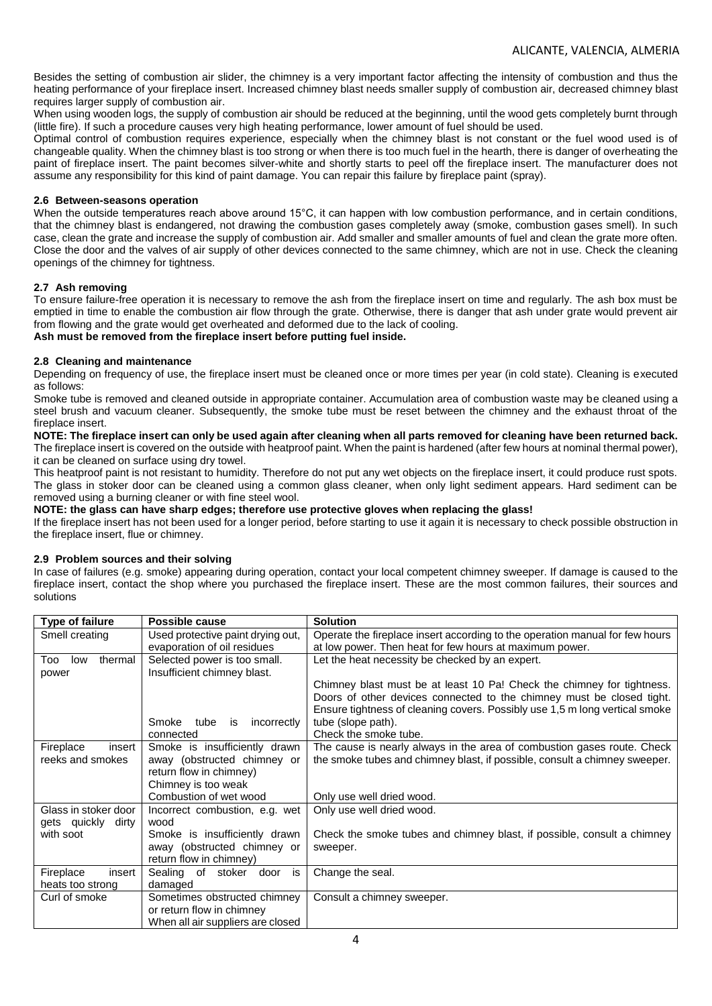Besides the setting of combustion air slider, the chimney is a very important factor affecting the intensity of combustion and thus the heating performance of your fireplace insert. Increased chimney blast needs smaller supply of combustion air, decreased chimney blast requires larger supply of combustion air.

When using wooden logs, the supply of combustion air should be reduced at the beginning, until the wood gets completely burnt through (little fire). If such a procedure causes very high heating performance, lower amount of fuel should be used.

Optimal control of combustion requires experience, especially when the chimney blast is not constant or the fuel wood used is of changeable quality. When the chimney blast is too strong or when there is too much fuel in the hearth, there is danger of overheating the paint of fireplace insert. The paint becomes silver-white and shortly starts to peel off the fireplace insert. The manufacturer does not assume any responsibility for this kind of paint damage. You can repair this failure by fireplace paint (spray).

### **2.6 Between-seasons operation**

When the outside temperatures reach above around 15°C, it can happen with low combustion performance, and in certain conditions, that the chimney blast is endangered, not drawing the combustion gases completely away (smoke, combustion gases smell). In such case, clean the grate and increase the supply of combustion air. Add smaller and smaller amounts of fuel and clean the grate more often. Close the door and the valves of air supply of other devices connected to the same chimney, which are not in use. Check the cleaning openings of the chimney for tightness.

## **2.7 Ash removing**

To ensure failure-free operation it is necessary to remove the ash from the fireplace insert on time and regularly. The ash box must be emptied in time to enable the combustion air flow through the grate. Otherwise, there is danger that ash under grate would prevent air from flowing and the grate would get overheated and deformed due to the lack of cooling. **Ash must be removed from the fireplace insert before putting fuel inside.**

### **2.8 Cleaning and maintenance**

Depending on frequency of use, the fireplace insert must be cleaned once or more times per year (in cold state). Cleaning is executed as follows:

Smoke tube is removed and cleaned outside in appropriate container. Accumulation area of combustion waste may be cleaned using a steel brush and vacuum cleaner. Subsequently, the smoke tube must be reset between the chimney and the exhaust throat of the fireplace insert.

**NOTE: The fireplace insert can only be used again after cleaning when all parts removed for cleaning have been returned back.** The fireplace insert is covered on the outside with heatproof paint. When the paint is hardened (after few hours at nominal thermal power), it can be cleaned on surface using dry towel.

This heatproof paint is not resistant to humidity. Therefore do not put any wet objects on the fireplace insert, it could produce rust spots. The glass in stoker door can be cleaned using a common glass cleaner, when only light sediment appears. Hard sediment can be removed using a burning cleaner or with fine steel wool.

**NOTE: the glass can have sharp edges; therefore use protective gloves when replacing the glass!**

If the fireplace insert has not been used for a longer period, before starting to use it again it is necessary to check possible obstruction in the fireplace insert, flue or chimney.

## **2.9 Problem sources and their solving**

In case of failures (e.g. smoke) appearing during operation, contact your local competent chimney sweeper. If damage is caused to the fireplace insert, contact the shop where you purchased the fireplace insert. These are the most common failures, their sources and solutions

| Type of failure       | Possible cause                     | <b>Solution</b>                                                              |
|-----------------------|------------------------------------|------------------------------------------------------------------------------|
| Smell creating        | Used protective paint drying out,  | Operate the fireplace insert according to the operation manual for few hours |
|                       | evaporation of oil residues        | at low power. Then heat for few hours at maximum power.                      |
| thermal<br>Too<br>low | Selected power is too small.       | Let the heat necessity be checked by an expert.                              |
| power                 | Insufficient chimney blast.        |                                                                              |
|                       |                                    | Chimney blast must be at least 10 Pa! Check the chimney for tightness.       |
|                       |                                    | Doors of other devices connected to the chimney must be closed tight.        |
|                       |                                    | Ensure tightness of cleaning covers. Possibly use 1,5 m long vertical smoke  |
|                       | tube<br>incorrectly<br>Smoke<br>is | tube (slope path).                                                           |
|                       | connected                          | Check the smoke tube.                                                        |
| Fireplace<br>insert   | Smoke is insufficiently drawn      | The cause is nearly always in the area of combustion gases route. Check      |
| reeks and smokes      | away (obstructed chimney or        | the smoke tubes and chimney blast, if possible, consult a chimney sweeper.   |
|                       | return flow in chimney)            |                                                                              |
|                       | Chimney is too weak                |                                                                              |
|                       | Combustion of wet wood             | Only use well dried wood.                                                    |
| Glass in stoker door  | Incorrect combustion, e.g. wet     | Only use well dried wood.                                                    |
| gets quickly dirty    | wood                               |                                                                              |
| with soot             | Smoke is insufficiently drawn      | Check the smoke tubes and chimney blast, if possible, consult a chimney      |
|                       | away (obstructed chimney or        | sweeper.                                                                     |
|                       | return flow in chimney)            |                                                                              |
| Fireplace<br>insert   | Sealing of<br>stoker door<br>is    | Change the seal.                                                             |
| heats too strong      | damaged                            |                                                                              |
| Curl of smoke         | Sometimes obstructed chimney       | Consult a chimney sweeper.                                                   |
|                       | or return flow in chimney          |                                                                              |
|                       | When all air suppliers are closed  |                                                                              |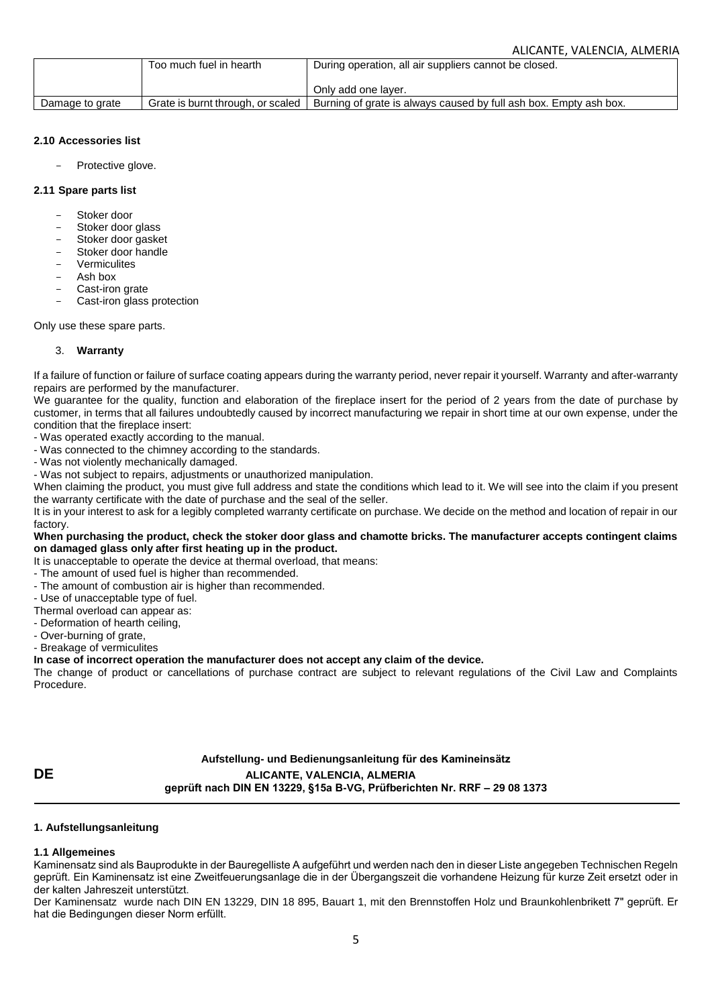|                 | Too much fuel in hearth           | During operation, all air suppliers cannot be closed.             |
|-----------------|-----------------------------------|-------------------------------------------------------------------|
|                 |                                   | Only add one laver.                                               |
| Damage to grate | Grate is burnt through, or scaled | Burning of grate is always caused by full ash box. Empty ash box. |

### **2.10 Accessories list**

Protective glove.

### **2.11 Spare parts list**

- Stoker door
- Stoker door glass
- Stoker door gasket
- Stoker door handle
- **Vermiculites**
- Ash hox
- Cast-iron grate
- Cast-iron glass protection

Only use these spare parts.

### 3. **Warranty**

If a failure of function or failure of surface coating appears during the warranty period, never repair it yourself. Warranty and after-warranty repairs are performed by the manufacturer.

We quarantee for the quality, function and elaboration of the fireplace insert for the period of 2 years from the date of purchase by customer, in terms that all failures undoubtedly caused by incorrect manufacturing we repair in short time at our own expense, under the condition that the fireplace insert:

- Was operated exactly according to the manual.
- Was connected to the chimney according to the standards.
- Was not violently mechanically damaged.
- Was not subject to repairs, adjustments or unauthorized manipulation.

When claiming the product, you must give full address and state the conditions which lead to it. We will see into the claim if you present the warranty certificate with the date of purchase and the seal of the seller.

It is in your interest to ask for a legibly completed warranty certificate on purchase. We decide on the method and location of repair in our factory.

### **When purchasing the product, check the stoker door glass and chamotte bricks. The manufacturer accepts contingent claims on damaged glass only after first heating up in the product.**

It is unacceptable to operate the device at thermal overload, that means:

- The amount of used fuel is higher than recommended.
- The amount of combustion air is higher than recommended.
- Use of unacceptable type of fuel.
- Thermal overload can appear as:
- Deformation of hearth ceiling,
- Over-burning of grate,
- Breakage of vermiculites

**In case of incorrect operation the manufacturer does not accept any claim of the device.**

The change of product or cancellations of purchase contract are subject to relevant regulations of the Civil Law and Complaints Procedure.

**Aufstellung- und Bedienungsanleitung für des Kamineinsätz DE ALICANTE, VALENCIA, ALMERIA geprüft nach DIN EN 13229, §15a B-VG, Prüfberichten Nr. RRF – 29 08 1373**

### **1. Aufstellungsanleitung**

## **1.1 Allgemeines**

Kaminensatz sind als Bauprodukte in der Bauregelliste A aufgeführt und werden nach den in dieser Liste angegeben Technischen Regeln geprüft. Ein Kaminensatz ist eine Zweitfeuerungsanlage die in der Übergangszeit die vorhandene Heizung für kurze Zeit ersetzt oder in der kalten Jahreszeit unterstützt.

Der Kaminensatz wurde nach DIN EN 13229, DIN 18 895, Bauart 1, mit den Brennstoffen Holz und Braunkohlenbrikett 7" geprüft. Er hat die Bedingungen dieser Norm erfüllt.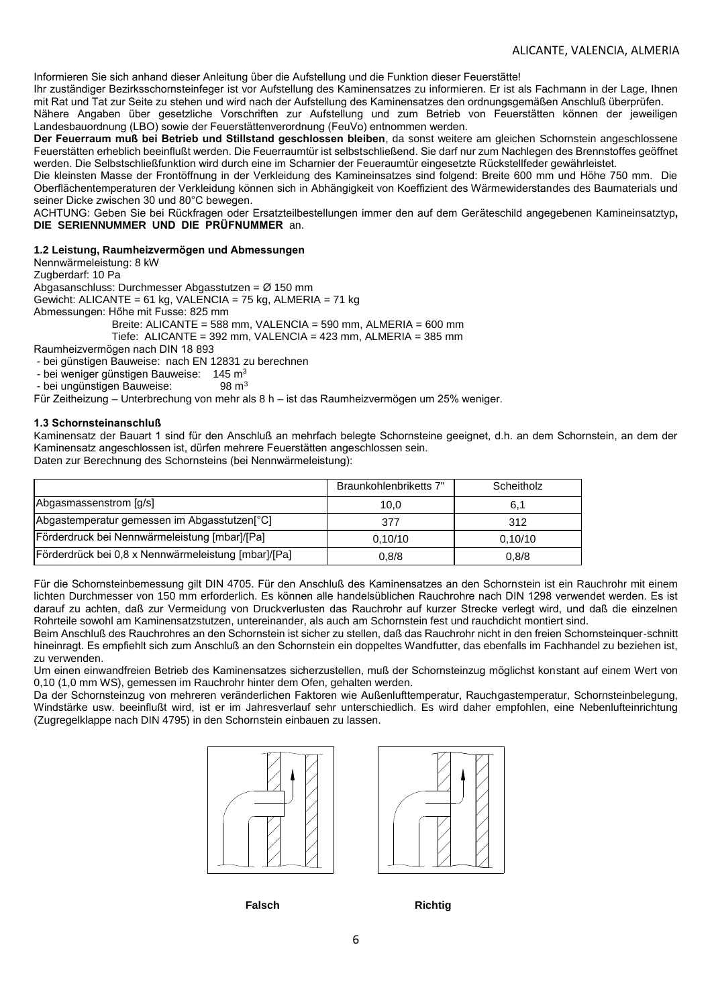Informieren Sie sich anhand dieser Anleitung über die Aufstellung und die Funktion dieser Feuerstätte!

Ihr zuständiger Bezirksschornsteinfeger ist vor Aufstellung des Kaminensatzes zu informieren. Er ist als Fachmann in der Lage, Ihnen mit Rat und Tat zur Seite zu stehen und wird nach der Aufstellung des Kaminensatzes den ordnungsgemäßen Anschluß überprüfen.

Nähere Angaben über gesetzliche Vorschriften zur Aufstellung und zum Betrieb von Feuerstätten können der jeweiligen Landesbauordnung (LBO) sowie der Feuerstättenverordnung (FeuVo) entnommen werden.

**Der Feuerraum muß bei Betrieb und Stillstand geschlossen bleiben**, da sonst weitere am gleichen Schornstein angeschlossene Feuerstätten erheblich beeinflußt werden. Die Feuerraumtür ist selbstschließend. Sie darf nur zum Nachlegen des Brennstoffes geöffnet werden. Die Selbstschließfunktion wird durch eine im Scharnier der Feueraumtür eingesetzte Rückstellfeder gewährleistet.

Die kleinsten Masse der Frontöffnung in der Verkleidung des Kamineinsatzes sind folgend: Breite 600 mm und Höhe 750 mm. Die Oberflächentemperaturen der Verkleidung können sich in Abhängigkeit von Koeffizient des Wärmewiderstandes des Baumaterials und seiner Dicke zwischen 30 und 80°C bewegen.

ACHTUNG: Geben Sie bei Rückfragen oder Ersatzteilbestellungen immer den auf dem Geräteschild angegebenen Kamineinsatztyp**, DIE SERIENNUMMER UND DIE PRÜFNUMMER** an.

### **1.2 Leistung, Raumheizvermögen und Abmessungen**

Nennwärmeleistung: 8 kW Zugberdarf: 10 Pa Abgasanschluss: Durchmesser Abgasstutzen = Ø 150 mm Gewicht: ALICANTE = 61 kg, VALENCIA = 75 kg, ALMERIA = 71 kg Abmessungen: Hőhe mit Fusse: 825 mm Breite: ALICANTE = 588 mm, VALENCIA = 590 mm, ALMERIA = 600 mm Tiefe: ALICANTE = 392 mm, VALENCIA = 423 mm, ALMERIA = 385 mm

Raumheizvermögen nach DIN 18 893

- bei günstigen Bauweise: nach EN 12831 zu berechnen

- bei weniger günstigen Bauweise:  $145 \text{ m}^3$ <br>- bei ungünstigen Bauweise: 98 m<sup>3</sup>

- bei ungünstigen Bauweise:

Für Zeitheizung – Unterbrechung von mehr als 8 h – ist das Raumheizvermögen um 25% weniger.

### **1.3 Schornsteinanschluß**

Kaminensatz der Bauart 1 sind für den Anschluß an mehrfach belegte Schornsteine geeignet, d.h. an dem Schornstein, an dem der Kaminensatz angeschlossen ist, dürfen mehrere Feuerstätten angeschlossen sein. Daten zur Berechnung des Schornsteins (bei Nennwärmeleistung):

|                                                           | Braunkohlenbriketts 7" | Scheitholz |
|-----------------------------------------------------------|------------------------|------------|
| Abgasmassenstrom [q/s]                                    | 10.0                   | 6,1        |
| Abgastemperatur gemessen im Abgasstutzen <sup>[°</sup> C] | 377                    | 312        |
| [Förderdruck bei Nennwärmeleistung [mbar]/[Pa]            | 0.10/10                | 0.10/10    |
| Förderdrück bei 0,8 x Nennwärmeleistung [mbar]/[Pa]       | 0,8/8                  | 0.8/8      |

Für die Schornsteinbemessung gilt DIN 4705. Für den Anschluß des Kaminensatzes an den Schornstein ist ein Rauchrohr mit einem lichten Durchmesser von 150 mm erforderlich. Es können alle handelsüblichen Rauchrohre nach DIN 1298 verwendet werden. Es ist darauf zu achten, daß zur Vermeidung von Druckverlusten das Rauchrohr auf kurzer Strecke verlegt wird, und daß die einzelnen Rohrteile sowohl am Kaminensatzstutzen, untereinander, als auch am Schornstein fest und rauchdicht montiert sind.

Beim Anschluß des Rauchrohres an den Schornstein ist sicher zu stellen, daß das Rauchrohr nicht in den freien Schornsteinquer-schnitt hineinragt. Es empfiehlt sich zum Anschluß an den Schornstein ein doppeltes Wandfutter, das ebenfalls im Fachhandel zu beziehen ist, zu verwenden.

Um einen einwandfreien Betrieb des Kaminensatzes sicherzustellen, muß der Schornsteinzug möglichst konstant auf einem Wert von 0,10 (1,0 mm WS), gemessen im Rauchrohr hinter dem Ofen, gehalten werden.

Da der Schornsteinzug von mehreren veränderlichen Faktoren wie Außenlufttemperatur, Rauchgastemperatur, Schornsteinbelegung, Windstärke usw. beeinflußt wird, ist er im Jahresverlauf sehr unterschiedlich. Es wird daher empfohlen, eine Nebenlufteinrichtung (Zugregelklappe nach DIN 4795) in den Schornstein einbauen zu lassen.





**Falsch Richtig**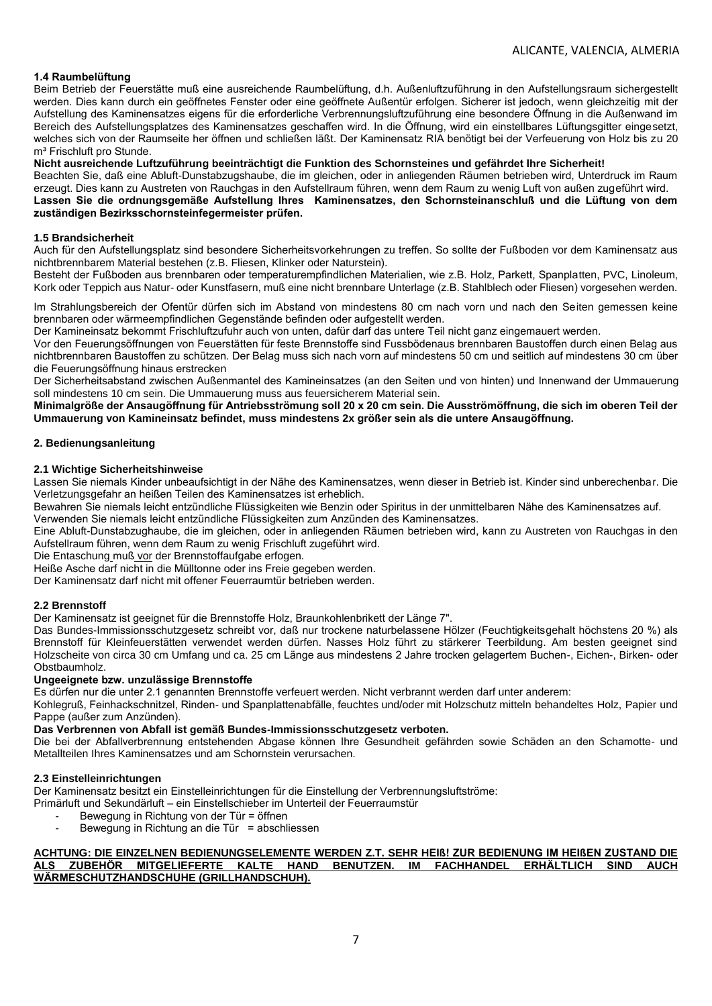## **1.4 Raumbelüftung**

Beim Betrieb der Feuerstätte muß eine ausreichende Raumbelüftung, d.h. Außenluftzuführung in den Aufstellungsraum sichergestellt werden. Dies kann durch ein geöffnetes Fenster oder eine geöffnete Außentür erfolgen. Sicherer ist jedoch, wenn gleichzeitig mit der Aufstellung des Kaminensatzes eigens für die erforderliche Verbrennungsluftzuführung eine besondere Öffnung in die Außenwand im Bereich des Aufstellungsplatzes des Kaminensatzes geschaffen wird. In die Öffnung, wird ein einstellbares Lüftungsgitter eingesetzt, welches sich von der Raumseite her öffnen und schließen läßt. Der Kaminensatz RIA benötigt bei der Verfeuerung von Holz bis zu 20 m<sup>3</sup> Frischluft pro Stunde.

## **Nicht ausreichende Luftzuführung beeinträchtigt die Funktion des Schornsteines und gefährdet Ihre Sicherheit!**

Beachten Sie, daß eine Abluft-Dunstabzugshaube, die im gleichen, oder in anliegenden Räumen betrieben wird, Unterdruck im Raum erzeugt. Dies kann zu Austreten von Rauchgas in den Aufstellraum führen, wenn dem Raum zu wenig Luft von außen zugeführt wird. **Lassen Sie die ordnungsgemäße Aufstellung Ihres Kaminensatzes, den Schornsteinanschluß und die Lüftung von dem zuständigen Bezirksschornsteinfegermeister prüfen.**

### **1.5 Brandsicherheit**

Auch für den Aufstellungsplatz sind besondere Sicherheitsvorkehrungen zu treffen. So sollte der Fußboden vor dem Kaminensatz aus nichtbrennbarem Material bestehen (z.B. Fliesen, Klinker oder Naturstein).

Besteht der Fußboden aus brennbaren oder temperaturempfindlichen Materialien, wie z.B. Holz, Parkett, Spanplatten, PVC, Linoleum, Kork oder Teppich aus Natur- oder Kunstfasern, muß eine nicht brennbare Unterlage (z.B. Stahlblech oder Fliesen) vorgesehen werden.

Im Strahlungsbereich der Ofentür dürfen sich im Abstand von mindestens 80 cm nach vorn und nach den Seiten gemessen keine brennbaren oder wärmeempfindlichen Gegenstände befinden oder aufgestellt werden.

Der Kamineinsatz bekommt Frischluftzufuhr auch von unten, dafür darf das untere Teil nicht ganz eingemauert werden.

Vor den Feuerungsöffnungen von Feuerstätten für feste Brennstoffe sind Fussbödenaus brennbaren Baustoffen durch einen Belag aus nichtbrennbaren Baustoffen zu schützen. Der Belag muss sich nach vorn auf mindestens 50 cm und seitlich auf mindestens 30 cm über die Feuerungsöffnung hinaus erstrecken

Der Sicherheitsabstand zwischen Außenmantel des Kamineinsatzes (an den Seiten und von hinten) und Innenwand der Ummauerung soll mindestens 10 cm sein. Die Ummauerung muss aus feuersicherem Material sein.

**Minimalgröße der Ansaugöffnung für Antriebsströmung soll 20 x 20 cm sein. Die Ausströmöffnung, die sich im oberen Teil der Ummauerung von Kamineinsatz befindet, muss mindestens 2x größer sein als die untere Ansaugöffnung.**

### **2. Bedienungsanleitung**

### **2.1 Wichtige Sicherheitshinweise**

Lassen Sie niemals Kinder unbeaufsichtigt in der Nähe des Kaminensatzes, wenn dieser in Betrieb ist. Kinder sind unberechenbar. Die Verletzungsgefahr an heißen Teilen des Kaminensatzes ist erheblich.

Bewahren Sie niemals leicht entzündliche Flüssigkeiten wie Benzin oder Spiritus in der unmittelbaren Nähe des Kaminensatzes auf. Verwenden Sie niemals leicht entzündliche Flüssigkeiten zum Anzünden des Kaminensatzes.

Eine Abluft-Dunstabzughaube, die im gleichen, oder in anliegenden Räumen betrieben wird, kann zu Austreten von Rauchgas in den Aufstellraum führen, wenn dem Raum zu wenig Frischluft zugeführt wird.

Die Entaschung muß vor der Brennstoffaufgabe erfogen.

Heiße Asche darf nicht in die Mülltonne oder ins Freie gegeben werden.

Der Kaminensatz darf nicht mit offener Feuerraumtür betrieben werden.

### **2.2 Brennstoff**

Der Kaminensatz ist geeignet für die Brennstoffe Holz, Braunkohlenbrikett der Länge 7".

Das Bundes-Immissionsschutzgesetz schreibt vor, daß nur trockene naturbelassene Hölzer (Feuchtigkeitsgehalt höchstens 20 %) als Brennstoff für Kleinfeuerstätten verwendet werden dürfen. Nasses Holz führt zu stärkerer Teerbildung. Am besten geeignet sind Holzscheite von circa 30 cm Umfang und ca. 25 cm Länge aus mindestens 2 Jahre trocken gelagertem Buchen-, Eichen-, Birken- oder Obstbaumholz.

### **Ungeeignete bzw. unzulässige Brennstoffe**

Es dürfen nur die unter 2.1 genannten Brennstoffe verfeuert werden. Nicht verbrannt werden darf unter anderem:

Kohlegruß, Feinhackschnitzel, Rinden- und Spanplattenabfälle, feuchtes und/oder mit Holzschutz mitteln behandeltes Holz, Papier und Pappe (außer zum Anzünden).

### **Das Verbrennen von Abfall ist gemäß Bundes-Immissionsschutzgesetz verboten.**

Die bei der Abfallverbrennung entstehenden Abgase können Ihre Gesundheit gefährden sowie Schäden an den Schamotte- und Metallteilen Ihres Kaminensatzes und am Schornstein verursachen.

### **2.3 Einstelleinrichtungen**

Der Kaminensatz besitzt ein Einstelleinrichtungen für die Einstellung der Verbrennungsluftströme:

Primärluft und Sekundärluft – ein Einstellschieber im Unterteil der Feuerraumstür

- Bewegung in Richtung von der Tür = öffnen
- Bewegung in Richtung an die Tür = abschliessen

### **ACHTUNG: DIE EINZELNEN BEDIENUNGSELEMENTE WERDEN Z.T. SEHR HEIß! ZUR BEDIENUNG IM HEIßEN ZUSTAND DIE ALS ZUBEHÖR MITGELIEFERTE KALTE HAND BENUTZEN. IM FACHHANDEL ERHÄLTLICH SIND AUCH WÄRMESCHUTZHANDSCHUHE (GRILLHANDSCHUH).**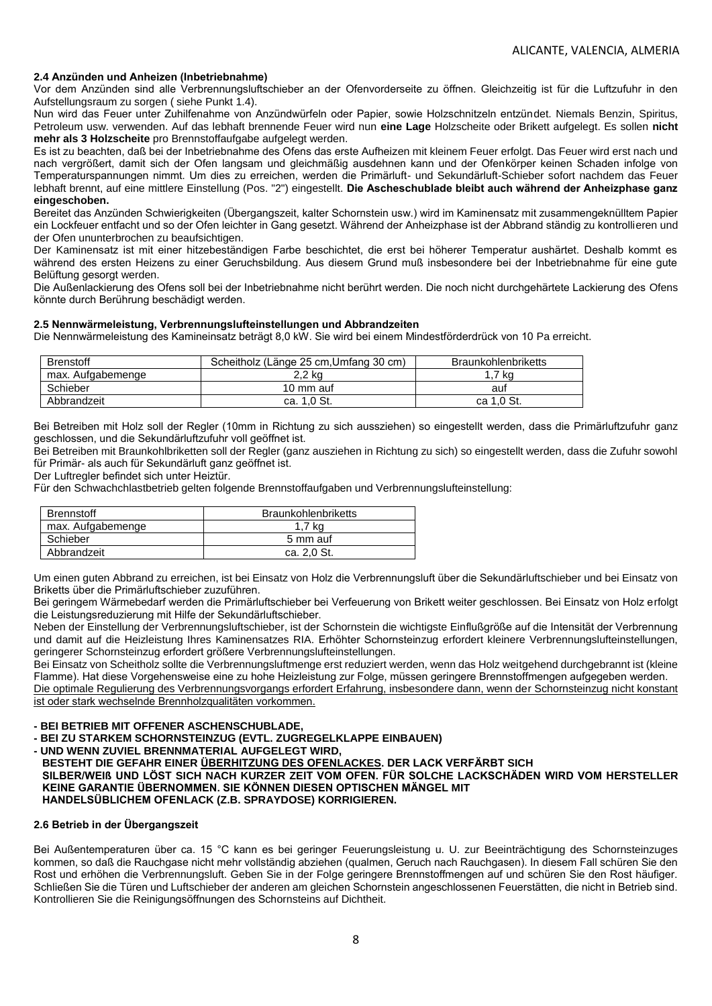### **2.4 Anzünden und Anheizen (Inbetriebnahme)**

Vor dem Anzünden sind alle Verbrennungsluftschieber an der Ofenvorderseite zu öffnen. Gleichzeitig ist für die Luftzufuhr in den Aufstellungsraum zu sorgen ( siehe Punkt 1.4).

Nun wird das Feuer unter Zuhilfenahme von Anzündwürfeln oder Papier, sowie Holzschnitzeln entzündet. Niemals Benzin, Spiritus, Petroleum usw. verwenden. Auf das lebhaft brennende Feuer wird nun **eine Lage** Holzscheite oder Brikett aufgelegt. Es sollen **nicht mehr als 3 Holzscheite** pro Brennstoffaufgabe aufgelegt werden.

Es ist zu beachten, daß bei der Inbetriebnahme des Ofens das erste Aufheizen mit kleinem Feuer erfolgt. Das Feuer wird erst nach und nach vergrößert, damit sich der Ofen langsam und gleichmäßig ausdehnen kann und der Ofenkörper keinen Schaden infolge von Temperaturspannungen nimmt. Um dies zu erreichen, werden die Primärluft- und Sekundärluft-Schieber sofort nachdem das Feuer lebhaft brennt, auf eine mittlere Einstellung (Pos. "2") eingestellt. **Die Ascheschublade bleibt auch während der Anheizphase ganz eingeschoben.**

Bereitet das Anzünden Schwierigkeiten (Übergangszeit, kalter Schornstein usw.) wird im Kaminensatz mit zusammengeknülltem Papier ein Lockfeuer entfacht und so der Ofen leichter in Gang gesetzt. Während der Anheizphase ist der Abbrand ständig zu kontrollieren und der Ofen ununterbrochen zu beaufsichtigen.

Der Kaminensatz ist mit einer hitzebeständigen Farbe beschichtet, die erst bei höherer Temperatur aushärtet. Deshalb kommt es während des ersten Heizens zu einer Geruchsbildung. Aus diesem Grund muß insbesondere bei der Inbetriebnahme für eine gute Belüftung gesorgt werden.

Die Außenlackierung des Ofens soll bei der Inbetriebnahme nicht berührt werden. Die noch nicht durchgehärtete Lackierung des Ofens könnte durch Berührung beschädigt werden.

## **2.5 Nennwärmeleistung, Verbrennungslufteinstellungen und Abbrandzeiten**

Die Nennwärmeleistung des Kamineinsatz beträgt 8,0 kW. Sie wird bei einem Mindestförderdrück von 10 Pa erreicht.

| <b>Brenstoff</b>  | Scheitholz (Länge 25 cm. Umfang 30 cm) | <b>Braunkohlenbriketts</b> |
|-------------------|----------------------------------------|----------------------------|
| max. Aufgabemenge | 2.2 ka                                 | 7 ka                       |
| Schieber          | 10 mm auf                              | auf                        |
| Abbrandzeit       | ca. 1.0 St.                            | ca 1.0 St.                 |

Bei Betreiben mit Holz soll der Regler (10mm in Richtung zu sich aussziehen) so eingestellt werden, dass die Primärluftzufuhr ganz geschlossen, und die Sekundärluftzufuhr voll geöffnet ist.

Bei Betreiben mit Braunkohlbriketten soll der Regler (ganz ausziehen in Richtung zu sich) so eingestellt werden, dass die Zufuhr sowohl für Primär- als auch für Sekundärluft ganz geöffnet ist.

Der Luftregler befindet sich unter Heiztür.

Für den Schwachchlastbetrieb gelten folgende Brennstoffaufgaben und Verbrennungslufteinstellung:

| <b>Brennstoff</b> | <b>Braunkohlenbriketts</b> |
|-------------------|----------------------------|
| max. Aufgabemenge | 1,7 kg                     |
| Schieber          | 5 mm auf                   |
| Abbrandzeit       | ca. 2.0 St.                |

Um einen guten Abbrand zu erreichen, ist bei Einsatz von Holz die Verbrennungsluft über die Sekundärluftschieber und bei Einsatz von Briketts über die Primärluftschieber zuzuführen.

Bei geringem Wärmebedarf werden die Primärluftschieber bei Verfeuerung von Brikett weiter geschlossen. Bei Einsatz von Holz erfolgt die Leistungsreduzierung mit Hilfe der Sekundärluftschieber.

Neben der Einstellung der Verbrennungsluftschieber, ist der Schornstein die wichtigste Einflußgröße auf die Intensität der Verbrennung und damit auf die Heizleistung Ihres Kaminensatzes RIA. Erhöhter Schornsteinzug erfordert kleinere Verbrennungslufteinstellungen, geringerer Schornsteinzug erfordert größere Verbrennungslufteinstellungen.

Bei Einsatz von Scheitholz sollte die Verbrennungsluftmenge erst reduziert werden, wenn das Holz weitgehend durchgebrannt ist (kleine Flamme). Hat diese Vorgehensweise eine zu hohe Heizleistung zur Folge, müssen geringere Brennstoffmengen aufgegeben werden. Die optimale Regulierung des Verbrennungsvorgangs erfordert Erfahrung, insbesondere dann, wenn der Schornsteinzug nicht konstant ist oder stark wechselnde Brennholzqualitäten vorkommen.

**- BEI BETRIEB MIT OFFENER ASCHENSCHUBLADE,**

- **- BEI ZU STARKEM SCHORNSTEINZUG (EVTL. ZUGREGELKLAPPE EINBAUEN)**
- **- UND WENN ZUVIEL BRENNMATERIAL AUFGELEGT WIRD,**
- **BESTEHT DIE GEFAHR EINER ÜBERHITZUNG DES OFENLACKES. DER LACK VERFÄRBT SICH**

**SILBER/WEIß UND LÖST SICH NACH KURZER ZEIT VOM OFEN. FÜR SOLCHE LACKSCHÄDEN WIRD VOM HERSTELLER KEINE GARANTIE ÜBERNOMMEN. SIE KÖNNEN DIESEN OPTISCHEN MÄNGEL MIT** 

## **HANDELSÜBLICHEM OFENLACK (Z.B. SPRAYDOSE) KORRIGIEREN.**

## **2.6 Betrieb in der Übergangszeit**

Bei Außentemperaturen über ca. 15 °C kann es bei geringer Feuerungsleistung u. U. zur Beeinträchtigung des Schornsteinzuges kommen, so daß die Rauchgase nicht mehr vollständig abziehen (qualmen, Geruch nach Rauchgasen). In diesem Fall schüren Sie den Rost und erhöhen die Verbrennungsluft. Geben Sie in der Folge geringere Brennstoffmengen auf und schüren Sie den Rost häufiger. Schließen Sie die Türen und Luftschieber der anderen am gleichen Schornstein angeschlossenen Feuerstätten, die nicht in Betrieb sind. Kontrollieren Sie die Reinigungsöffnungen des Schornsteins auf Dichtheit.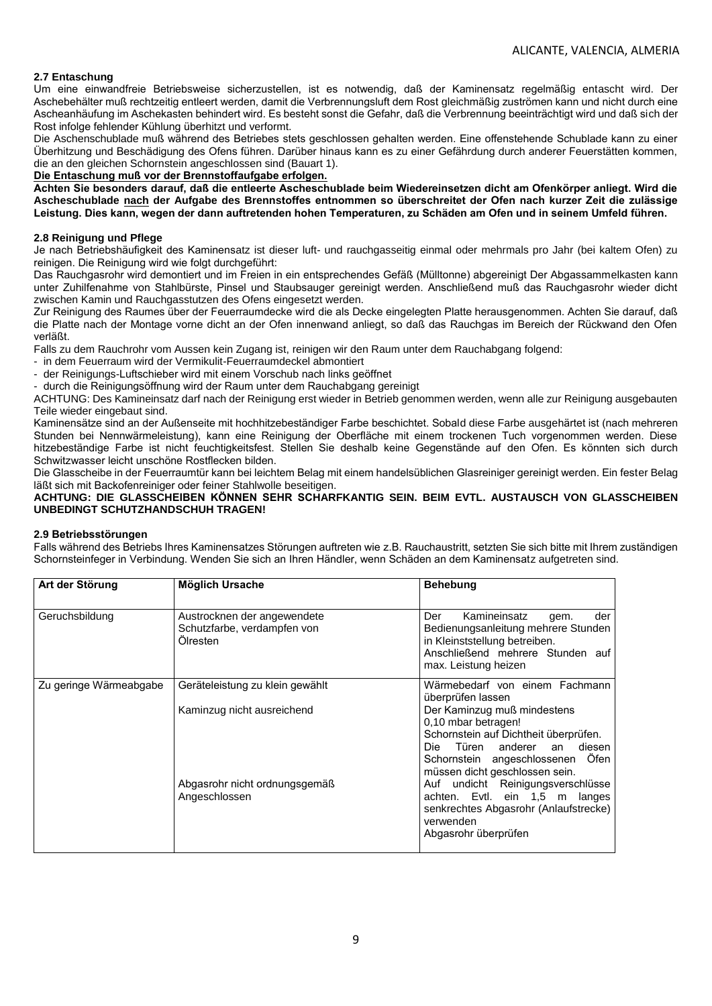## **2.7 Entaschung**

Um eine einwandfreie Betriebsweise sicherzustellen, ist es notwendig, daß der Kaminensatz regelmäßig entascht wird. Der Aschebehälter muß rechtzeitig entleert werden, damit die Verbrennungsluft dem Rost gleichmäßig zuströmen kann und nicht durch eine Ascheanhäufung im Aschekasten behindert wird. Es besteht sonst die Gefahr, daß die Verbrennung beeinträchtigt wird und daß sich der Rost infolge fehlender Kühlung überhitzt und verformt.

Die Aschenschublade muß während des Betriebes stets geschlossen gehalten werden. Eine offenstehende Schublade kann zu einer Überhitzung und Beschädigung des Ofens führen. Darüber hinaus kann es zu einer Gefährdung durch anderer Feuerstätten kommen, die an den gleichen Schornstein angeschlossen sind (Bauart 1).

**Die Entaschung muß vor der Brennstoffaufgabe erfolgen.** 

**Achten Sie besonders darauf, daß die entleerte Ascheschublade beim Wiedereinsetzen dicht am Ofenkörper anliegt. Wird die Ascheschublade nach der Aufgabe des Brennstoffes entnommen so überschreitet der Ofen nach kurzer Zeit die zulässige Leistung. Dies kann, wegen der dann auftretenden hohen Temperaturen, zu Schäden am Ofen und in seinem Umfeld führen.**

### **2.8 Reinigung und Pflege**

Je nach Betriebshäufigkeit des Kaminensatz ist dieser luft- und rauchgasseitig einmal oder mehrmals pro Jahr (bei kaltem Ofen) zu reinigen. Die Reinigung wird wie folgt durchgeführt:

Das Rauchgasrohr wird demontiert und im Freien in ein entsprechendes Gefäß (Mülltonne) abgereinigt Der Abgassammelkasten kann unter Zuhilfenahme von Stahlbürste, Pinsel und Staubsauger gereinigt werden. Anschließend muß das Rauchgasrohr wieder dicht zwischen Kamin und Rauchgasstutzen des Ofens eingesetzt werden.

Zur Reinigung des Raumes über der Feuerraumdecke wird die als Decke eingelegten Platte herausgenommen. Achten Sie darauf, daß die Platte nach der Montage vorne dicht an der Ofen innenwand anliegt, so daß das Rauchgas im Bereich der Rückwand den Ofen verläßt.

Falls zu dem Rauchrohr vom Aussen kein Zugang ist, reinigen wir den Raum unter dem Rauchabgang folgend:

in dem Feuerraum wird der Vermikulit-Feuerraumdeckel abmontiert

- der Reinigungs-Luftschieber wird mit einem Vorschub nach links geöffnet

- durch die Reinigungsöffnung wird der Raum unter dem Rauchabgang gereinigt

ACHTUNG: Des Kamineinsatz darf nach der Reinigung erst wieder in Betrieb genommen werden, wenn alle zur Reinigung ausgebauten Teile wieder eingebaut sind.

Kaminensätze sind an der Außenseite mit hochhitzebeständiger Farbe beschichtet. Sobald diese Farbe ausgehärtet ist (nach mehreren Stunden bei Nennwärmeleistung), kann eine Reinigung der Oberfläche mit einem trockenen Tuch vorgenommen werden. Diese hitzebeständige Farbe ist nicht feuchtigkeitsfest. Stellen Sie deshalb keine Gegenstände auf den Ofen. Es könnten sich durch Schwitzwasser leicht unschöne Rostflecken bilden.

Die Glasscheibe in der Feuerraumtür kann bei leichtem Belag mit einem handelsüblichen Glasreiniger gereinigt werden. Ein fester Belag läßt sich mit Backofenreiniger oder feiner Stahlwolle beseitigen.

## **ACHTUNG: DIE GLASSCHEIBEN KÖNNEN SEHR SCHARFKANTIG SEIN. BEIM EVTL. AUSTAUSCH VON GLASSCHEIBEN UNBEDINGT SCHUTZHANDSCHUH TRAGEN!**

### **2.9 Betriebsstörungen**

Falls während des Betriebs Ihres Kaminensatzes Störungen auftreten wie z.B. Rauchaustritt, setzten Sie sich bitte mit Ihrem zuständigen Schornsteinfeger in Verbindung. Wenden Sie sich an Ihren Händler, wenn Schäden an dem Kaminensatz aufgetreten sind.

| Art der Störung        | <b>Möglich Ursache</b>                                                 | <b>Behebung</b>                                                                                                                                                                                        |
|------------------------|------------------------------------------------------------------------|--------------------------------------------------------------------------------------------------------------------------------------------------------------------------------------------------------|
| Geruchsbildung         | Austrocknen der angewendete<br>Schutzfarbe, verdampfen von<br>Ölresten | Kamineinsatz<br>Der<br>der<br>qem.<br>Bedienungsanleitung mehrere Stunden<br>in Kleinststellung betreiben.<br>Anschließend mehrere Stunden auf<br>max. Leistung heizen                                 |
| Zu geringe Wärmeabgabe | Geräteleistung zu klein gewählt                                        | Wärmebedarf von einem Fachmann<br>überprüfen lassen                                                                                                                                                    |
|                        | Kaminzug nicht ausreichend                                             | Der Kaminzug muß mindestens<br>0,10 mbar betragen!<br>Schornstein auf Dichtheit überprüfen.<br>Die Türen<br>anderer an<br>diesen<br>Schornstein angeschlossenen Öfen<br>müssen dicht geschlossen sein. |
|                        | Abgasrohr nicht ordnungsgemäß<br>Angeschlossen                         | Auf undicht Reinigungsverschlüsse<br>achten. Evtl. ein 1,5 m langes<br>senkrechtes Abgasrohr (Anlaufstrecke)<br>verwenden<br>Abgasrohr überprüfen                                                      |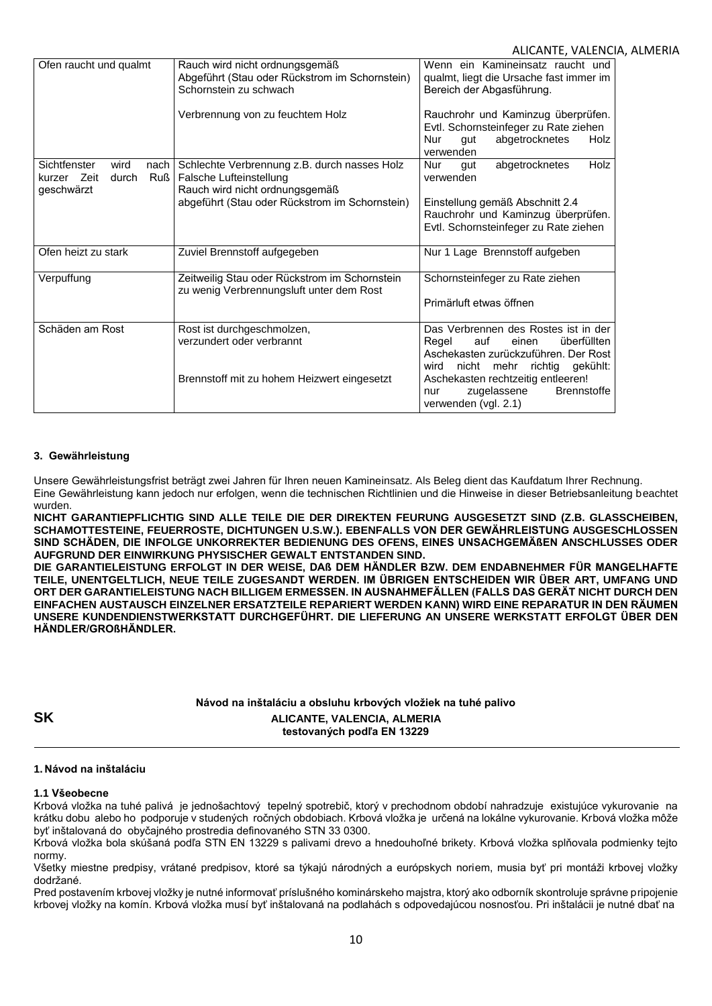## ALICANTE, VALENCIA, ALMERIA

| Ofen raucht und qualmt                                                           | Rauch wird nicht ordnungsgemäß<br>Abgeführt (Stau oder Rückstrom im Schornstein)<br>Schornstein zu schwach                                                  | Wenn ein Kamineinsatz raucht und<br>qualmt, liegt die Ursache fast immer im<br>Bereich der Abgasführung.                                                            |
|----------------------------------------------------------------------------------|-------------------------------------------------------------------------------------------------------------------------------------------------------------|---------------------------------------------------------------------------------------------------------------------------------------------------------------------|
|                                                                                  | Verbrennung von zu feuchtem Holz                                                                                                                            | Rauchrohr und Kaminzug überprüfen.<br>Evtl. Schornsteinfeger zu Rate ziehen<br>abgetrocknetes<br><b>Nur</b><br>qut<br>Holz<br>verwenden                             |
| Sichtfenster<br>wird<br>nach<br>durch<br>kurzer Zeit<br><b>Ruß</b><br>geschwärzt | Schlechte Verbrennung z.B. durch nasses Holz<br>Falsche Lufteinstellung<br>Rauch wird nicht ordnungsgemäß<br>abgeführt (Stau oder Rückstrom im Schornstein) | Holz<br>Nur<br>abgetrocknetes<br>qut<br>verwenden<br>Einstellung gemäß Abschnitt 2.4<br>Rauchrohr und Kaminzug überprüfen.<br>Evtl. Schornsteinfeger zu Rate ziehen |
| Ofen heizt zu stark                                                              | Zuviel Brennstoff aufgegeben                                                                                                                                | Nur 1 Lage Brennstoff aufgeben                                                                                                                                      |
| Verpuffung                                                                       | Zeitweilig Stau oder Rückstrom im Schornstein<br>zu wenig Verbrennungsluft unter dem Rost                                                                   | Schornsteinfeger zu Rate ziehen<br>Primärluft etwas öffnen                                                                                                          |
| Schäden am Rost                                                                  | Rost ist durchgeschmolzen,<br>verzundert oder verbrannt                                                                                                     | Das Verbrennen des Rostes ist in der<br>Regel<br>auf<br>überfüllten<br>einen<br>Aschekasten zurückzuführen. Der Rost<br>nicht mehr richtig gekühlt:<br>wird         |
|                                                                                  | Brennstoff mit zu hohem Heizwert eingesetzt                                                                                                                 | Aschekasten rechtzeitig entleeren!<br>zugelassene<br><b>Brennstoffe</b><br>nur<br>verwenden (vgl. 2.1)                                                              |

### **3. Gewährleistung**

Unsere Gewährleistungsfrist beträgt zwei Jahren für Ihren neuen Kamineinsatz. Als Beleg dient das Kaufdatum Ihrer Rechnung. Eine Gewährleistung kann jedoch nur erfolgen, wenn die technischen Richtlinien und die Hinweise in dieser Betriebsanleitung beachtet wurden.

**NICHT GARANTIEPFLICHTIG SIND ALLE TEILE DIE DER DIREKTEN FEURUNG AUSGESETZT SIND (Z.B. GLASSCHEIBEN, SCHAMOTTESTEINE, FEUERROSTE, DICHTUNGEN U.S.W.). EBENFALLS VON DER GEWÄHRLEISTUNG AUSGESCHLOSSEN SIND SCHÄDEN, DIE INFOLGE UNKORREKTER BEDIENUNG DES OFENS, EINES UNSACHGEMÄßEN ANSCHLUSSES ODER AUFGRUND DER EINWIRKUNG PHYSISCHER GEWALT ENTSTANDEN SIND.**

**DIE GARANTIELEISTUNG ERFOLGT IN DER WEISE, DAß DEM HÄNDLER BZW. DEM ENDABNEHMER FÜR MANGELHAFTE TEILE, UNENTGELTLICH, NEUE TEILE ZUGESANDT WERDEN. IM ÜBRIGEN ENTSCHEIDEN WIR ÜBER ART, UMFANG UND ORT DER GARANTIELEISTUNG NACH BILLIGEM ERMESSEN. IN AUSNAHMEFÄLLEN (FALLS DAS GERÄT NICHT DURCH DEN EINFACHEN AUSTAUSCH EINZELNER ERSATZTEILE REPARIERT WERDEN KANN) WIRD EINE REPARATUR IN DEN RÄUMEN UNSERE KUNDENDIENSTWERKSTATT DURCHGEFÜHRT. DIE LIEFERUNG AN UNSERE WERKSTATT ERFOLGT ÜBER DEN HÄNDLER/GROßHÄNDLER.**

**Návod na inštaláciu a obsluhu krbových vložiek na tuhé palivo SK ALICANTE, VALENCIA, ALMERIA testovaných podľa EN 13229**

### **1. Návod na inštaláciu**

### **1.1 Všeobecne**

Krbová vložka na tuhé palivá je jednošachtový tepelný spotrebič, ktorý v prechodnom období nahradzuje existujúce vykurovanie na krátku dobu alebo ho podporuje v studených ročných obdobiach. Krbová vložka je určená na lokálne vykurovanie. Krbová vložka môže byť inštalovaná do obyčajného prostredia definovaného STN 33 0300.

Krbová vložka bola skúšaná podľa STN EN 13229 s palivami drevo a hnedouhoľné brikety. Krbová vložka splňovala podmienky tejto normy.

Všetky miestne predpisy, vrátané predpisov, ktoré sa týkajú národných a európskych noriem, musia byť pri montáži krbovej vložky dodržané.

Pred postavením krbovej vložky je nutné informovať príslušného kominárskeho majstra, ktorý ako odborník skontroluje správne pripojenie krbovej vložky na komín. Krbová vložka musí byť inštalovaná na podlahách s odpovedajúcou nosnosťou. Pri inštalácii je nutné dbať na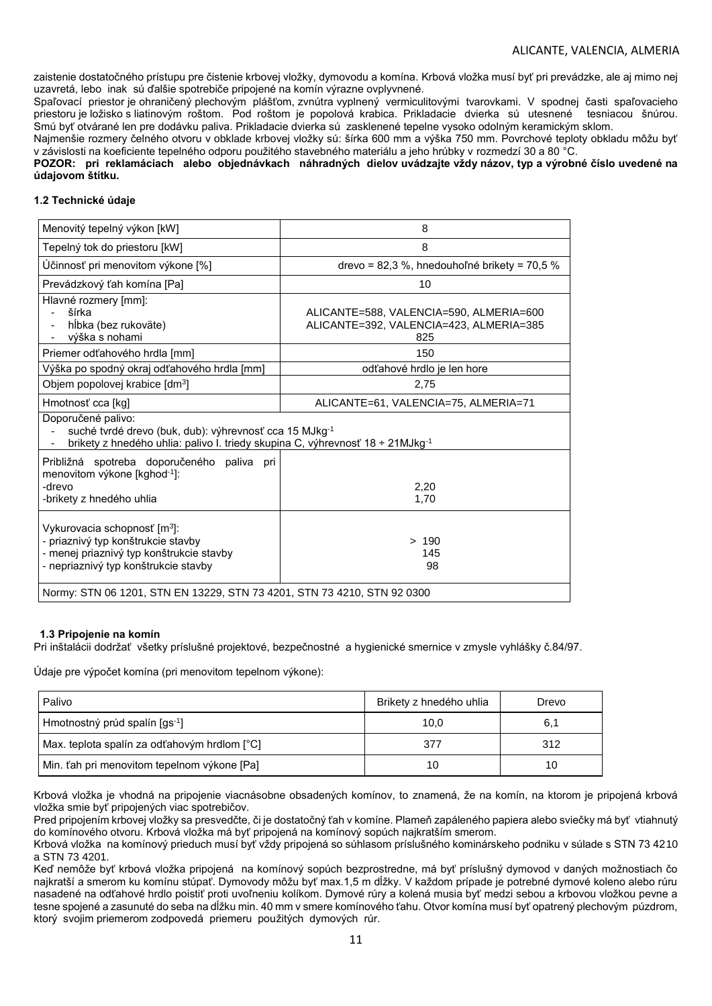zaistenie dostatočného prístupu pre čistenie krbovej vložky, dymovodu a komína. Krbová vložka musí byť pri prevádzke, ale aj mimo nej uzavretá, lebo inak sú ďalšie spotrebiče pripojené na komín výrazne ovplyvnené.

Spaľovací priestor je ohraničený plechovým plášťom, zvnútra vyplnený vermiculitovými tvarovkami. V spodnej časti spaľovacieho priestoru je ložisko s liatinovým roštom. Pod roštom je popolová krabica. Prikladacie dvierka sú utesnené tesniacou šnúrou. Smú byť otvárané len pre dodávku paliva. Prikladacie dvierka sú zasklenené tepelne vysoko odolným keramickým sklom.

Najmenšie rozmery čelného otvoru v obklade krbovej vložky sú: šírka 600 mm a výška 750 mm. Povrchové teploty obkladu môžu byť v závislosti na koeficiente tepelného odporu použitého stavebného materiálu a jeho hrúbky v rozmedzí 30 a 80 °C.

### **POZOR: pri reklamáciach alebo objednávkach náhradných dielov uvádzajte vždy názov, typ a výrobné číslo uvedené na údajovom štítku.**

### **1.2 Technické údaje**

| Menovitý tepelný výkon [kW]                                                                                                                                               | 8                                                                                         |  |
|---------------------------------------------------------------------------------------------------------------------------------------------------------------------------|-------------------------------------------------------------------------------------------|--|
| Tepelný tok do priestoru [kW]                                                                                                                                             | 8                                                                                         |  |
| Účinnosť pri menovitom výkone [%]                                                                                                                                         | drevo = 82,3 %, hnedouhoľné brikety = 70,5 %                                              |  |
| Prevádzkový ťah komína [Pa]                                                                                                                                               | 10                                                                                        |  |
| Hlavné rozmery [mm]:<br>šírka<br>hĺbka (bez rukoväte)<br>výška s nohami                                                                                                   | ALICANTE=588, VALENCIA=590, ALMERIA=600<br>ALICANTE=392, VALENCIA=423, ALMERIA=385<br>825 |  |
| Priemer odťahového hrdla [mm]                                                                                                                                             | 150                                                                                       |  |
| Výška po spodný okraj odťahového hrdla [mm]                                                                                                                               | odťahové hrdlo je len hore                                                                |  |
| Objem popolovej krabice [dm <sup>3</sup> ]                                                                                                                                | 2,75                                                                                      |  |
| Hmotnosť cca [kg]                                                                                                                                                         | ALICANTE=61, VALENCIA=75, ALMERIA=71                                                      |  |
| Doporučené palivo:<br>suché tvrdé drevo (buk, dub): výhrevnosť cca 15 MJkg-1<br>brikety z hnedého uhlia: palivo I. triedy skupina C, výhrevnosť 18 ÷ 21MJkg <sup>-1</sup> |                                                                                           |  |
| Približná spotreba doporučeného paliva pri<br>menovitom výkone [kghod <sup>-1</sup> ]:<br>-drevo<br>2,20<br>-brikety z hnedého uhlia<br>1,70                              |                                                                                           |  |
| Vykurovacia schopnosť [m <sup>3</sup> ]:<br>- priaznivý typ konštrukcie stavby<br>- menej priaznivý typ konštrukcie stavby<br>- nepriaznivý typ konštrukcie stavby        | >190<br>145<br>98                                                                         |  |
| Normy: STN 06 1201, STN EN 13229, STN 73 4201, STN 73 4210, STN 92 0300                                                                                                   |                                                                                           |  |

### **1.3 Pripojenie na komín**

Pri inštalácii dodržať všetky príslušné projektové, bezpečnostné a hygienické smernice v zmysle vyhlášky č.84/97.

Údaje pre výpočet komína (pri menovitom tepelnom výkone):

| Palivo                                       | Brikety z hnedého uhlia | Drevo |
|----------------------------------------------|-------------------------|-------|
| Hmotnostný prúd spalín [qs <sup>-1</sup> ]   | 10,0                    | 6.1   |
| Max. teplota spalín za odťahovým hrdlom [°C] | 377                     | 312   |
| Min. ťah pri menovitom tepelnom výkone [Pa]  | 10                      | 10    |

Krbová vložka je vhodná na pripojenie viacnásobne obsadených komínov, to znamená, že na komín, na ktorom je pripojená krbová vložka smie byť pripojených viac spotrebičov.

Pred pripojením krbovej vložky sa presvedčte, či je dostatočný ťah v komíne. Plameň zapáleného papiera alebo sviečky má byť vtiahnutý do komínového otvoru. Krbová vložka má byť pripojená na komínový sopúch najkratším smerom.

Krbová vložka na komínový prieduch musí byť vždy pripojená so súhlasom príslušného kominárskeho podniku v súlade s STN 73 4210 a STN 73 4201.

Keď nemôže byť krbová vložka pripojená na komínový sopúch bezprostredne, má byť príslušný dymovod v daných možnostiach čo najkratší a smerom ku komínu stúpať. Dymovody môžu byť max.1,5 m dĺžky. V každom prípade je potrebné dymové koleno alebo rúru nasadené na odťahové hrdlo poistiť proti uvoľneniu kolíkom. Dymové rúry a kolená musia byť medzi sebou a krbovou vložkou pevne a tesne spojené a zasunuté do seba na dĺžku min. 40 mm v smere komínového ťahu. Otvor komína musí byť opatrený plechovým púzdrom, ktorý svojim priemerom zodpovedá priemeru použitých dymových rúr.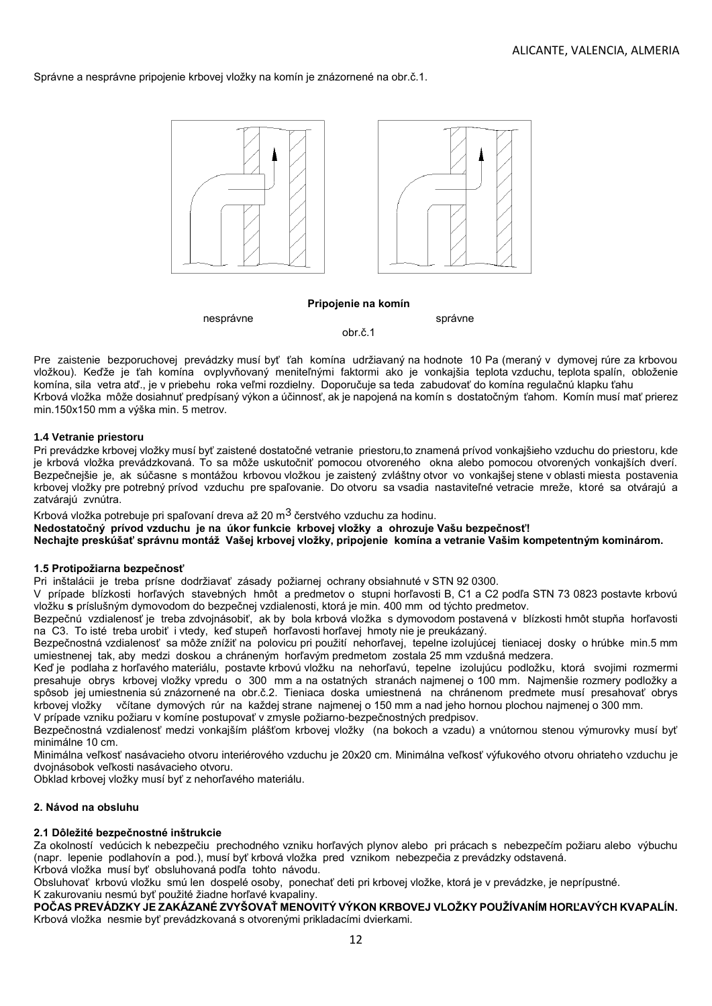Správne a nesprávne pripojenie krbovej vložky na komín je znázornené na obr.č.1.



#### **Pripojenie na komín**

nesprávne správne správne správne správne správne správne správne správne správne správne správne správne spr

obr.č.1

Pre zaistenie bezporuchovej prevádzky musí byť ťah komína udržiavaný na hodnote 10 Pa (meraný v dymovej rúre za krbovou vložkou). Keďže je ťah komína ovplyvňovaný meniteľnými faktormi ako je vonkajšia teplota vzduchu, teplota spalín, obloženie komína, sila vetra atď., je v priebehu roka veľmi rozdielny. Doporučuje sa teda zabudovať do komína regulačnú klapku ťahu Krbová vložka môže dosiahnuť predpísaný výkon a účinnosť, ak je napojená na komín s dostatočným ťahom. Komín musí mať prierez min.150x150 mm a výška min. 5 metrov.

### **1.4 Vetranie priestoru**

Pri prevádzke krbovej vložky musí byť zaistené dostatočné vetranie priestoru,to znamená prívod vonkajšieho vzduchu do priestoru, kde je krbová vložka prevádzkovaná. To sa môže uskutočniť pomocou otvoreného okna alebo pomocou otvorených vonkajších dverí. Bezpečnejšie je, ak súčasne s montážou krbovou vložkou je zaistený zvláštny otvor vo vonkajšej stene v oblasti miesta postavenia krbovej vložky pre potrebný prívod vzduchu pre spaľovanie. Do otvoru sa vsadia nastaviteľné vetracie mreže, ktoré sa otvárajú a zatvárajú zvnútra.

Krbová vložka potrebuje pri spaľovaní dreva až 20 m $^3$  čerstvého vzduchu za hodinu.

**Nedostatočný prívod vzduchu je na úkor funkcie krbovej vložky a ohrozuje Vašu bezpečnosť!**

**Nechajte preskúšať správnu montáž Vašej krbovej vložky, pripojenie komína a vetranie Vašim kompetentným kominárom.**

### **1.5 Protipožiarna bezpečnosť**

Pri inštalácii je treba prísne dodržiavať zásady požiarnej ochrany obsiahnuté v STN 92 0300.

V prípade blízkosti horľavých stavebných hmôt a predmetov o stupni horľavosti B, C1 a C2 podľa STN 73 0823 postavte krbovú vložku **s** príslušným dymovodom do bezpečnej vzdialenosti, ktorá je min. 400 mm od týchto predmetov.

Bezpečnú vzdialenosť je treba zdvojnásobiť, ak by bola krbová vložka s dymovodom postavená v blízkosti hmôt stupňa horľavosti na C3. To isté treba urobiť i vtedy, keď stupeň horľavosti horľavej hmoty nie je preukázaný.

Bezpečnostná vzdialenosť sa môže znížiť na polovicu pri použití nehorľavej, tepelne izolujúcej tieniacej dosky o hrúbke min.5 mm umiestnenej tak, aby medzi doskou a chráneným horľavým predmetom zostala 25 mm vzdušná medzera.

Keď je podlaha z horľavého materiálu, postavte krbovú vložku na nehorľavú, tepelne izolujúcu podložku, ktorá svojimi rozmermi presahuje obrys krbovej vložky vpredu o 300 mm a na ostatných stranách najmenej o 100 mm. Najmenšie rozmery podložky a spôsob jej umiestnenia sú znázornené na obr.č.2. Tieniaca doska umiestnená na chránenom predmete musí presahovať obrys krbovej vložky včítane dymových rúr na každej strane najmenej o 150 mm a nad jeho hornou plochou najmenej o 300 mm. V prípade vzniku požiaru v komíne postupovať v zmysle požiarno-bezpečnostných predpisov.

Bezpečnostná vzdialenosť medzi vonkajším plášťom krbovej vložky (na bokoch a vzadu) a vnútornou stenou výmurovky musí byť minimálne 10 cm.

Minimálna veľkosť nasávacieho otvoru interiérového vzduchu je 20x20 cm. Minimálna veľkosť výfukového otvoru ohriateho vzduchu je dvojnásobok veľkosti nasávacieho otvoru.

Obklad krbovej vložky musí byť z nehorľavého materiálu.

## **2. Návod na obsluhu**

## **2.1 Dôležité bezpečnostné inštrukcie**

Za okolností vedúcich k nebezpečiu prechodného vzniku horľavých plynov alebo pri prácach s nebezpečím požiaru alebo výbuchu (napr. lepenie podlahovín a pod.), musí byť krbová vložka pred vznikom nebezpečia z prevádzky odstavená. Krbová vložka musí byť obsluhovaná podľa tohto návodu.

Obsluhovať krbovú vložku smú len dospelé osoby, ponechať deti pri krbovej vložke, ktorá je v prevádzke, je neprípustné. K zakurovaniu nesmú byť použité žiadne horľavé kvapaliny.

**POČAS PREVÁDZKY JE ZAKÁZANÉ ZVYŠOVAŤ MENOVITÝ VÝKON KRBOVEJ VLOŽKY POUŽÍVANÍM HORĽAVÝCH KVAPALÍN.** Krbová vložka nesmie byť prevádzkovaná s otvorenými prikladacími dvierkami.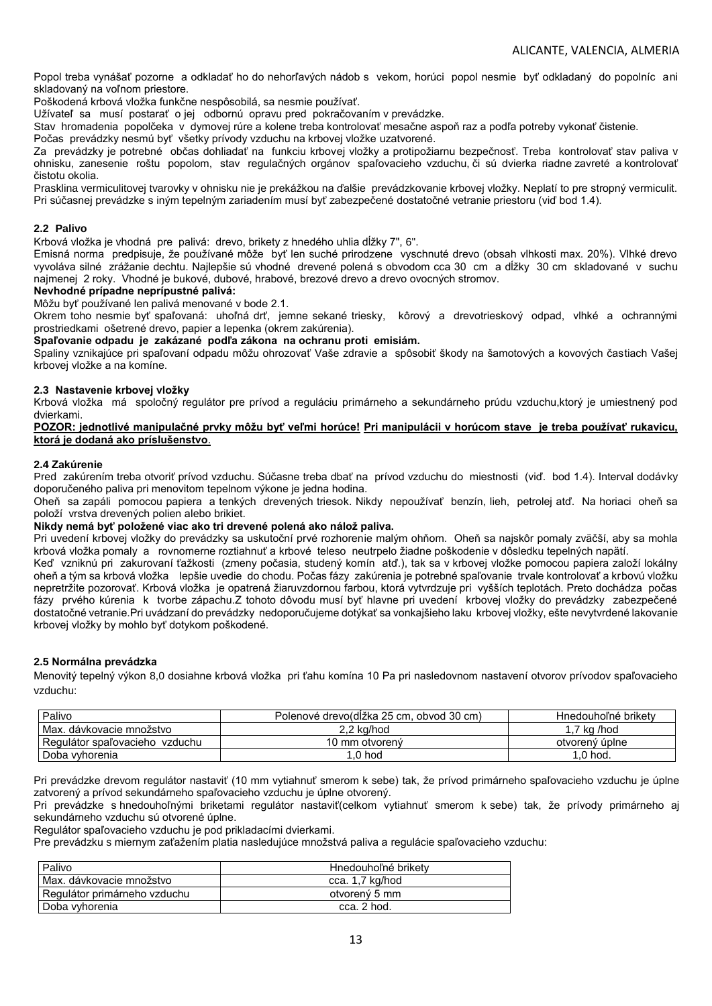Popol treba vynášať pozorne a odkladať ho do nehorľavých nádob s vekom, horúci popol nesmie byť odkladaný do popolníc ani skladovaný na voľnom priestore.

Poškodená krbová vložka funkčne nespôsobilá, sa nesmie používať.

Užívateľ sa musí postarať o jej odbornú opravu pred pokračovaním v prevádzke.

Stav hromadenia popolčeka v dymovej rúre a kolene treba kontrolovať mesačne aspoň raz a podľa potreby vykonať čistenie.

Počas prevádzky nesmú byť všetky prívody vzduchu na krbovej vložke uzatvorené.

Za prevádzky je potrebné občas dohliadať na funkciu krbovej vložky a protipožiarnu bezpečnosť. Treba kontrolovať stav paliva v ohnisku, zanesenie roštu popolom, stav regulačných orgánov spaľovacieho vzduchu, či sú dvierka riadne zavreté a kontrolovať čistotu okolia.

Prasklina vermiculitovej tvarovky v ohnisku nie je prekážkou na ďalšie prevádzkovanie krbovej vložky. Neplatí to pre stropný vermiculit. Pri súčasnej prevádzke s iným tepelným zariadením musí byť zabezpečené dostatočné vetranie priestoru (viď bod 1.4).

### **2.2 Palivo**

Krbová vložka je vhodná pre palivá: drevo, brikety z hnedého uhlia dĺžky 7", 6".

Emisná norma predpisuje, že používané môže byť len suché prirodzene vyschnuté drevo (obsah vlhkosti max. 20%). Vlhké drevo vyvoláva silné zrážanie dechtu. Najlepšie sú vhodné drevené polená s obvodom cca 30 cm a dĺžky 30 cm skladované v suchu najmenej 2 roky. Vhodné je bukové, dubové, hrabové, brezové drevo a drevo ovocných stromov.

### **Nevhodné prípadne neprípustné palivá:**

Môžu byť používané len palivá menované v bode 2.1.

Okrem toho nesmie byť spaľovaná: uhoľná drť, jemne sekané triesky, kôrový a drevotrieskový odpad, vlhké a ochrannými prostriedkami ošetrené drevo, papier a lepenka (okrem zakúrenia).

#### **Spaľovanie odpadu je zakázané podľa zákona na ochranu proti emisiám.**

Spaliny vznikajúce pri spaľovaní odpadu môžu ohrozovať Vaše zdravie a spôsobiť škody na šamotových a kovových častiach Vašej krbovej vložke a na komíne.

### **2.3 Nastavenie krbovej vložky**

Krbová vložka má spoločný regulátor pre prívod a reguláciu primárneho a sekundárneho prúdu vzduchu,ktorý je umiestnený pod dvierkami.

**POZOR: jednotlivé manipulačné prvky môžu byť veľmi horúce! Pri manipulácii v horúcom stave je treba používať rukavicu, ktorá je dodaná ako príslušenstvo**.

### **2.4 Zakúrenie**

Pred zakúrením treba otvoriť prívod vzduchu. Súčasne treba dbať na prívod vzduchu do miestnosti (viď. bod 1.4). Interval dodávky doporučeného paliva pri menovitom tepelnom výkone je jedna hodina.

Oheň sa zapáli pomocou papiera a tenkých drevených triesok. Nikdy nepoužívať benzín, lieh, petrolej atď. Na horiaci oheň sa položí vrstva drevených polien alebo brikiet.

### **Nikdy nemá byť položené viac ako tri drevené polená ako nálož paliva.**

Pri uvedení krbovej vložky do prevádzky sa uskutoční prvé rozhorenie malým ohňom. Oheň sa najskôr pomaly zväčší, aby sa mohla krbová vložka pomaly a rovnomerne roztiahnuť a krbové teleso neutrpelo žiadne poškodenie v dôsledku tepelných napätí.

Keď vzniknú pri zakurovaní ťažkosti (zmeny počasia, studený komín atď.), tak sa v krbovej vložke pomocou papiera založí lokálny oheň a tým sa krbová vložka lepšie uvedie do chodu. Počas fázy zakúrenia je potrebné spaľovanie trvale kontrolovať a krbovú vložku nepretržite pozorovať. Krbová vložka je opatrená žiaruvzdornou farbou, ktorá vytvrdzuje pri vyšších teplotách. Preto dochádza počas fázy prvého kúrenia k tvorbe zápachu.Z tohoto dôvodu musí byť hlavne pri uvedení krbovej vložky do prevádzky zabezpečené dostatočné vetranie.Pri uvádzaní do prevádzky nedoporučujeme dotýkať sa vonkajšieho laku krbovej vložky, ešte nevytvrdené lakovanie krbovej vložky by mohlo byť dotykom poškodené.

### **2.5 Normálna prevádzka**

Menovitý tepelný výkon 8,0 dosiahne krbová vložka pri ťahu komína 10 Pa pri nasledovnom nastavení otvorov prívodov spaľovacieho vzduchu:

| Palivo                            | Polenové drevo(dĺžka 25 cm. obvod 30 cm) | Hnedouhoľné brikety |
|-----------------------------------|------------------------------------------|---------------------|
| Max. dávkovacie množstvo          | 2.2 kg/hod                               | 1,7 kg /hod         |
| Regulátor spaľovacieho<br>vzduchu | 10 mm otvorený                           | otvorený úplne      |
| Doba vyhorenia                    | .0 hod                                   | $.0h$ hod.          |

Pri prevádzke drevom regulátor nastaviť (10 mm vytiahnuť smerom k sebe) tak, že prívod primárneho spaľovacieho vzduchu je úplne zatvorený a prívod sekundárneho spaľovacieho vzduchu je úplne otvorený.

Pri prevádzke s hnedouhoľnými briketami regulátor nastaviť(celkom vytiahnuť smerom k sebe) tak, že prívody primárneho aj sekundárneho vzduchu sú otvorené úplne.

Regulátor spaľovacieho vzduchu je pod prikladacími dvierkami.

Pre prevádzku s miernym zaťažením platia nasledujúce množstvá paliva a regulácie spaľovacieho vzduchu:

| Palivo                       | Hnedouhoľné brikety |
|------------------------------|---------------------|
| Max. dávkovacie množstvo     | cca. 1,7 kg/hod     |
| Regulátor primárneho vzduchu | otvorený 5 mm       |
| Doba vyhorenia               | cca. 2 hod.         |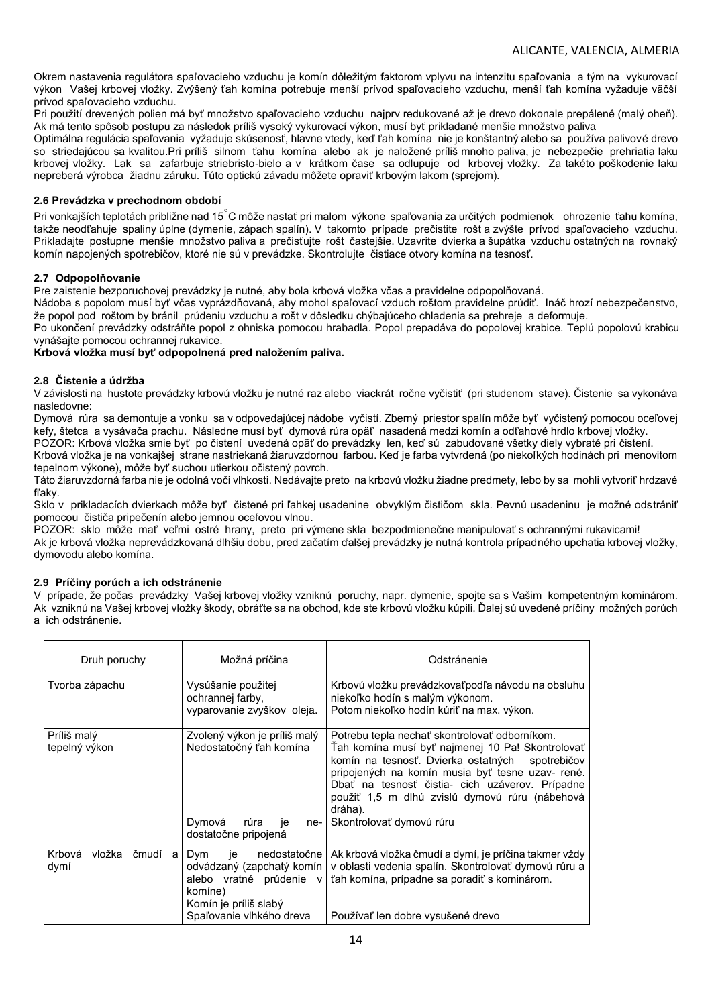Okrem nastavenia regulátora spaľovacieho vzduchu je komín dôležitým faktorom vplyvu na intenzitu spaľovania a tým na vykurovací výkon Vašej krbovej vložky. Zvýšený ťah komína potrebuje menší prívod spaľovacieho vzduchu, menší ťah komína vyžaduje väčší prívod spaľovacieho vzduchu.

Pri použití drevených polien má byť množstvo spaľovacieho vzduchu najprv redukované až je drevo dokonale prepálené (malý oheň). Ak má tento spôsob postupu za následok príliš vysoký vykurovací výkon, musí byť prikladané menšie množstvo paliva

Optimálna regulácia spaľovania vyžaduje skúsenosť, hlavne vtedy, keď ťah komína nie je konštantný alebo sa používa palivové drevo so striedajúcou sa kvalitou.Pri príliš silnom ťahu komína alebo ak je naložené príliš mnoho paliva, je nebezpečie prehriatia laku krbovej vložky. Lak sa zafarbuje striebristo-bielo a v krátkom čase sa odlupuje od krbovej vložky. Za takéto poškodenie laku nepreberá výrobca žiadnu záruku. Túto optickú závadu môžete opraviť krbovým lakom (sprejom).

## **2.6 Prevádzka v prechodnom období**

Pri vonkajších teplotách približne nad 15°C môže nastať pri malom výkone spaľovania za určitých podmienok ohrozenie ťahu komína, takže neodťahuje spaliny úplne (dymenie, zápach spalín). V takomto prípade prečistite rošt a zvýšte prívod spaľovacieho vzduchu. Prikladajte postupne menšie množstvo paliva a prečisťujte rošt častejšie. Uzavrite dvierka a šupátka vzduchu ostatných na rovnaký komín napojených spotrebičov, ktoré nie sú v prevádzke. Skontrolujte čistiace otvory komína na tesnosť.

### **2.7 Odpopolňovanie**

Pre zaistenie bezporuchovej prevádzky je nutné, aby bola krbová vložka včas a pravidelne odpopolňovaná.

Nádoba s popolom musí byť včas vyprázdňovaná, aby mohol spaľovací vzduch roštom pravidelne prúdiť. Ináč hrozí nebezpečenstvo, že popol pod roštom by bránil prúdeniu vzduchu a rošt v dôsledku chýbajúceho chladenia sa prehreje a deformuje.

Po ukončení prevádzky odstráňte popol z ohniska pomocou hrabadla. Popol prepadáva do popolovej krabice. Teplú popolovú krabicu vynášajte pomocou ochrannej rukavice.

## **Krbová vložka musí byť odpopolnená pred naložením paliva.**

### **2.8 Čistenie a údržba**

V závislosti na hustote prevádzky krbovú vložku je nutné raz alebo viackrát ročne vyčistiť (pri studenom stave). Čistenie sa vykonáva nasledovne:

Dymová rúra sa demontuje a vonku sa v odpovedajúcej nádobe vyčistí. Zberný priestor spalín môže byť vyčistený pomocou oceľovej kefy, štetca a vysávača prachu. Následne musí byť dymová rúra opäť nasadená medzi komín a odťahové hrdlo krbovej vložky.

POZOR: Krbová vložka smie byť po čistení uvedená opäť do prevádzky len, keď sú zabudované všetky diely vybraté pri čistení.

Krbová vložka je na vonkajšej strane nastriekaná žiaruvzdornou farbou. Keď je farba vytvrdená (po niekoľkých hodinách pri menovitom tepelnom výkone), môže byť suchou utierkou očistený povrch.

Táto žiaruvzdorná farba nie je odolná voči vlhkosti. Nedávajte preto na krbovú vložku žiadne predmety, lebo by sa mohli vytvoriť hrdzavé fľaky.

Sklo v prikladacích dvierkach môže byť čistené pri ľahkej usadenine obvyklým čističom skla. Pevnú usadeninu je možné odstrániť pomocou čističa pripečenín alebo jemnou oceľovou vlnou.

POZOR: sklo môže mať veľmi ostré hrany, preto pri výmene skla bezpodmienečne manipulovať s ochrannými rukavicami! Ak je krbová vložka neprevádzkovaná dlhšiu dobu, pred začatím ďalšej prevádzky je nutná kontrola prípadného upchatia krbovej vložky, dymovodu alebo komína.

## **2.9 Príčiny porúch a ich odstránenie**

V prípade, že počas prevádzky Vašej krbovej vložky vzniknú poruchy, napr. dymenie, spojte sa s Vašim kompetentným kominárom. Ak vzniknú na Vašej krbovej vložky škody, obráťte sa na obchod, kde ste krbovú vložku kúpili. Ďalej sú uvedené príčiny možných porúch a ich odstránenie.

| Druh poruchy                      | Možná príčina                                                                                           | Odstránenie                                                                                                                                                                                                                                                                                                                                                 |
|-----------------------------------|---------------------------------------------------------------------------------------------------------|-------------------------------------------------------------------------------------------------------------------------------------------------------------------------------------------------------------------------------------------------------------------------------------------------------------------------------------------------------------|
| Tvorba zápachu                    | Vysúšanie použitej<br>ochrannej farby,<br>vyparovanie zvyškov oleja.                                    | Krbovú vložku prevádzkovať podľa návodu na obsluhu<br>niekoľko hodín s malým výkonom.<br>Potom niekoľko hodín kúriť na max. výkon.                                                                                                                                                                                                                          |
| Príliš malý<br>tepelný výkon      | Zvolený výkon je príliš malý<br>Nedostatočný ťah komína<br>Dymová<br>rúra<br>je<br>dostatočne pripojená | Potrebu tepla nechať skontrolovať odborníkom.<br>Tah komina musi byť najmenej 10 Pa! Skontrolovať<br>komín na tesnosť. Dvierka ostatných<br>spotrebičov<br>pripojených na komín musia byť tesne uzav- rené.<br>Dbať na tesnosť čistia- cich uzáverov. Prípadne<br>použiť 1,5 m dlhú zvislú dymovú rúru (nábehová<br>dráha).<br>ne- Skontrolovať dymovú rúru |
| Krbová<br>vložka čmudí al<br>dymí | <b>Dym</b><br>ie<br>komíne)<br>Komín je príliš slabý<br>Spaľovanie vlhkého dreva                        | nedostatočne   Ak krbová vložka čmudí a dymí, je príčina takmer vždy<br>odvádzaný (zapchatý komín v oblasti vedenia spalín. Skontrolovať dymovú rúru a<br>alebo vratné prúdenie v tah komína, prípadne sa poradiť s kominárom.<br>Používať len dobre vysušené drevo                                                                                         |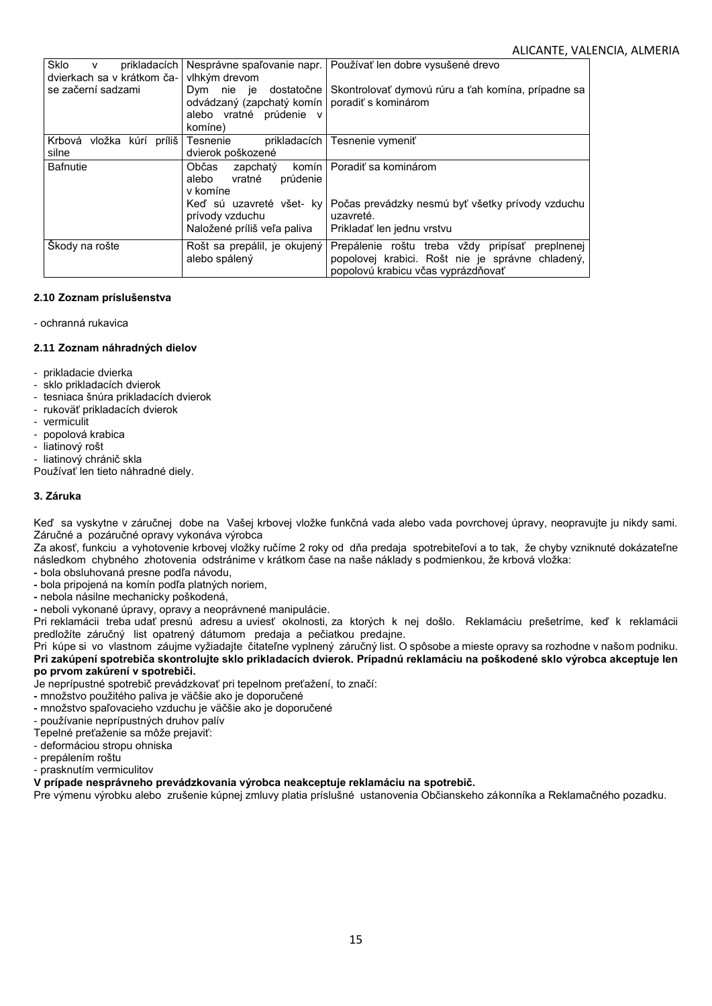| <b>Sklo</b><br>prikladacích<br>$\mathsf{v}$<br>dvierkach sa v krátkom ča- | vlhkým drevom                                                                                                     | Nesprávne spaľovanie napr.   Používať len dobre vysušené drevo                                                                               |
|---------------------------------------------------------------------------|-------------------------------------------------------------------------------------------------------------------|----------------------------------------------------------------------------------------------------------------------------------------------|
| se začerní sadzami                                                        | dostatočne l<br>Dym nie je<br>odvádzaný (zapchatý komín poradiť s kominárom<br>alebo vratné prúdenie v<br>komíne) | Skontrolovať dymovú rúru a ťah komína, prípadne sa                                                                                           |
| Krbová vložka kúrí príliš<br>silne                                        | Tesnenie<br>dvierok poškozené                                                                                     | prikladacích   Tesnenie vymeniť                                                                                                              |
| <b>Bafnutie</b>                                                           | Občas<br>zapchatý<br>prúdenie<br>alebo<br>vratné<br>v komíne                                                      | komín I Poradiť sa kominárom                                                                                                                 |
|                                                                           | Keď sú uzavreté všet- kv<br>prívody vzduchu<br>Naložené príliš veľa paliva                                        | Počas prevádzky nesmú byť všetky prívody vzduchu<br>uzavreté.<br>Prikladať len jednu vrstvu                                                  |
| Škody na rošte                                                            | Rošt sa prepálil, je okujený<br>alebo spálený                                                                     | Prepálenie roštu treba vždy pripísať<br>preplnenej<br>popolovej krabici. Rošt nie je správne chladený,<br>popolovú krabicu včas vyprázdňovať |

## **2.10 Zoznam príslušenstva**

### - ochranná rukavica

## **2.11 Zoznam náhradných dielov**

- prikladacie dvierka
- sklo prikladacích dvierok
- tesniaca šnúra prikladacích dvierok
- rukoväť prikladacích dvierok
- vermiculit
- popolová krabica
- liatinový rošt
- liatinový chránič skla

Používať len tieto náhradné diely.

## **3. Záruka**

Keď sa vyskytne v záručnej dobe na Vašej krbovej vložke funkčná vada alebo vada povrchovej úpravy, neopravujte ju nikdy sami. Záručné a pozáručné opravy vykonáva výrobca

Za akosť, funkciu a vyhotovenie krbovej vložky ručíme 2 roky od dňa predaja spotrebiteľovi a to tak, že chyby vzniknuté dokázateľne následkom chybného zhotovenia odstránime v krátkom čase na naše náklady s podmienkou, že krbová vložka:

- **-** bola obsluhovaná presne podľa návodu,
- **-** bola pripojená na komín podľa platných noriem,
- **-** nebola násilne mechanicky poškodená,
- **-** neboli vykonané úpravy, opravy a neoprávnené manipulácie.

Pri reklamácii treba udať presnú adresu a uviesť okolnosti, za ktorých k nej došlo. Reklamáciu prešetríme, keď k reklamácii predložíte záručný list opatrený dátumom predaja a pečiatkou predajne.

Pri kúpe si vo vlastnom záujme vyžiadajte čitateľne vyplnený záručný list. O spôsobe a mieste opravy sa rozhodne v našom podniku. **Pri zakúpení spotrebiča skontrolujte sklo prikladacích dvierok. Prípadnú reklamáciu na poškodené sklo výrobca akceptuje len po prvom zakúrení v spotrebiči.**

Je neprípustné spotrebič prevádzkovať pri tepelnom preťažení, to značí:

- **-** množstvo použitého paliva je väčšie ako je doporučené
- **-** množstvo spaľovacieho vzduchu je väčšie ako je doporučené
- používanie neprípustných druhov palív
- Tepelné preťaženie sa môže prejaviť:
- deformáciou stropu ohniska
- prepálením roštu
- prasknutím vermiculitov

**V prípade nesprávneho prevádzkovania výrobca neakceptuje reklamáciu na spotrebič.**

Pre výmenu výrobku alebo zrušenie kúpnej zmluvy platia príslušné ustanovenia Občianskeho zákonníka a Reklamačného pozadku.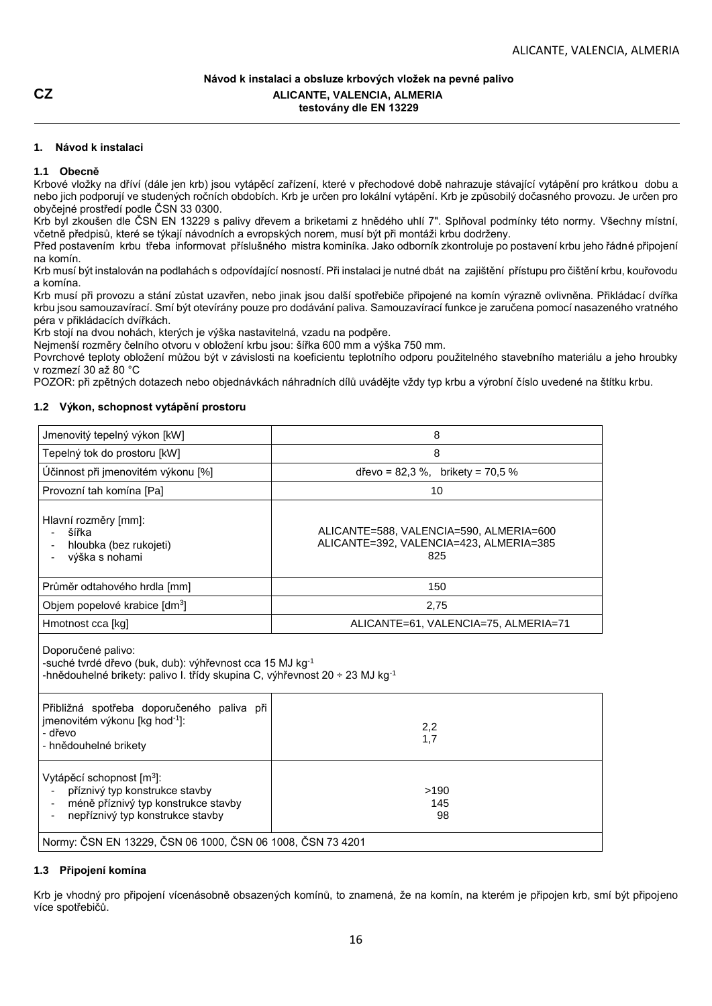## **Návod k instalaci a obsluze krbových vložek na pevné palivo CZ ALICANTE, VALENCIA, ALMERIA testovány dle EN 13229**

## **1. Návod k instalaci**

## **1.1 Obecně**

Krbové vložky na dříví (dále jen krb) jsou vytápěcí zařízení, které v přechodové době nahrazuje stávající vytápění pro krátkou dobu a nebo jich podporují ve studených ročních obdobích. Krb je určen pro lokální vytápění. Krb je způsobilý dočasného provozu. Je určen pro obyčejné prostředí podle ČSN 33 0300.

Krb byl zkoušen dle ČSN EN 13229 s palivy dřevem a briketami z hnědého uhlí 7". Splňoval podmínky této normy. Všechny místní, včetně předpisů, které se týkají návodních a evropských norem, musí být při montáži krbu dodrženy.

Před postavením krbu třeba informovat příslušného mistra kominíka. Jako odborník zkontroluje po postavení krbu jeho řádné připojení na komín.

Krb musí být instalován na podlahách s odpovídající nosností. Při instalaci je nutné dbát na zajištění přístupu pro čištění krbu, kouřovodu a komína.

Krb musí při provozu a stání zůstat uzavřen, nebo jinak jsou další spotřebiče připojené na komín výrazně ovlivněna. Přikládací dvířka krbu jsou samouzavírací. Smí být otevírány pouze pro dodávání paliva. Samouzavírací funkce je zaručena pomocí nasazeného vratného péra v přikládacích dvířkách.

Krb stojí na dvou nohách, kterých je výška nastavitelná, vzadu na podpěre.

Nejmenší rozměry čelního otvoru v obložení krbu jsou: šířka 600 mm a výška 750 mm.

Povrchové teploty obložení můžou být v závislosti na koeficientu teplotního odporu použitelného stavebního materiálu a jeho hroubky v rozmezí 30 až 80 °C

POZOR: při zpětných dotazech nebo objednávkách náhradních dílů uvádějte vždy typ krbu a výrobní číslo uvedené na štítku krbu.

## **1.2 Výkon, schopnost vytápění prostoru**

| Jmenovitý tepelný výkon [kW]                                                                                                                                              | 8                                                                                         |  |
|---------------------------------------------------------------------------------------------------------------------------------------------------------------------------|-------------------------------------------------------------------------------------------|--|
| Tepelný tok do prostoru [kW]                                                                                                                                              | 8                                                                                         |  |
| Účinnost při jmenovitém výkonu [%]                                                                                                                                        | dřevo = $82.3 \%$ , brikety = $70.5 \%$                                                   |  |
| Provozní tah komína [Pa]                                                                                                                                                  | 10                                                                                        |  |
| Hlavní rozměry [mm]:<br>šířka<br>hloubka (bez rukojeti)<br>výška s nohami                                                                                                 | ALICANTE=588, VALENCIA=590, ALMERIA=600<br>ALICANTE=392, VALENCIA=423, ALMERIA=385<br>825 |  |
| Průměr odtahového hrdla [mm]                                                                                                                                              | 150                                                                                       |  |
| Objem popelové krabice [dm <sup>3</sup> ]                                                                                                                                 | 2,75                                                                                      |  |
| Hmotnost cca [kg]                                                                                                                                                         | ALICANTE=61, VALENCIA=75, ALMERIA=71                                                      |  |
| Doporučené palivo:<br>-suché tvrdé dřevo (buk, dub): výhřevnost cca 15 MJ kg-1<br>-hnědouhelné brikety: palivo I. třídy skupina C, výhřevnost 20 ÷ 23 MJ kg <sup>-1</sup> |                                                                                           |  |
| Přibližná spotřeba doporučeného paliva při<br>jmenovitém výkonu [kg hod <sup>-1</sup> ]:<br>2,2<br>- dřevo<br>1,7<br>- hnědouhelné brikety                                |                                                                                           |  |
| Vytápěcí schopnost [m <sup>3</sup> ]:<br>příznivý typ konstrukce stavby<br>méně příznivý typ konstrukce stavby<br>nepříznivý typ konstrukce stavby                        | >190<br>145<br>98                                                                         |  |
| Normy: ČSN EN 13229, ČSN 06 1000, ČSN 06 1008, ČSN 73 4201                                                                                                                |                                                                                           |  |

## **1.3 Připojení komína**

Krb je vhodný pro připojení vícenásobně obsazených komínů, to znamená, že na komín, na kterém je připojen krb, smí být připojeno více spotřebičů.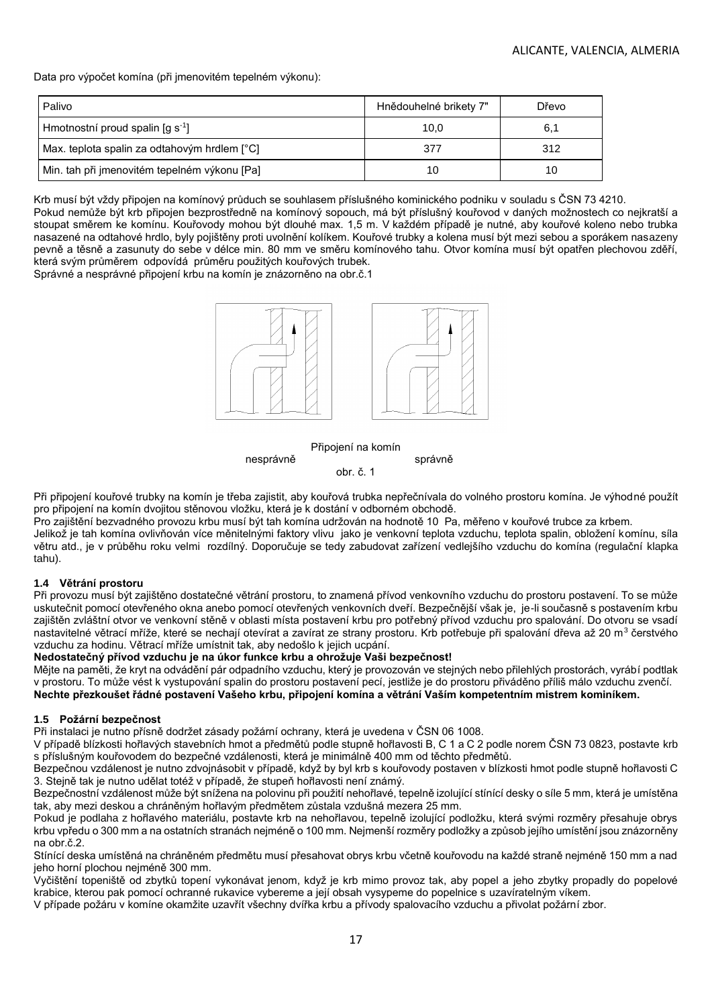Data pro výpočet komína (při jmenovitém tepelném výkonu):

| Palivo                                       | Hnědouhelné brikety 7" | Dřevo |
|----------------------------------------------|------------------------|-------|
| Hmotnostní proud spalin $\lceil q \rceil$    | 10,0                   | 6,1   |
| Max. teplota spalin za odtahovým hrdlem [°C] | 377                    | 312   |
| Min. tah při jmenovitém tepelném výkonu [Pa] | 10                     | 10    |

Krb musí být vždy připojen na komínový průduch se souhlasem příslušného kominického podniku v souladu s ČSN 73 4210. Pokud nemůže být krb připojen bezprostředně na komínový sopouch, má být příslušný kouřovod v daných možnostech co nejkratší a stoupat směrem ke komínu. Kouřovody mohou být dlouhé max. 1,5 m. V každém případě je nutné, aby kouřové koleno nebo trubka nasazené na odtahové hrdlo, byly pojištěny proti uvolnění kolíkem. Kouřové trubky a kolena musí být mezi sebou a sporákem nasazeny pevně a těsně a zasunuty do sebe v délce min. 80 mm ve směru komínového tahu. Otvor komína musí být opatřen plechovou zděří, která svým průměrem odpovídá průměru použitých kouřových trubek.

Správné a nesprávné připojení krbu na komín je znázorněno na obr.č.1



Připojení na komín

nesprávně správně

obr. č. 1

Při připojení kouřové trubky na komín je třeba zajistit, aby kouřová trubka nepřečnívala do volného prostoru komína. Je výhodné použít pro připojení na komín dvojitou stěnovou vložku, která je k dostání v odborném obchodě.

Pro zajištění bezvadného provozu krbu musí být tah komína udržován na hodnotě 10 Pa, měřeno v kouřové trubce za krbem. Jelikož je tah komína ovlivňován více měnitelnými faktory vlivu jako je venkovní teplota vzduchu, teplota spalin, obložení komínu, síla větru atd., je v průběhu roku velmi rozdílný. Doporučuje se tedy zabudovat zařízení vedlejšího vzduchu do komína (regulační klapka tahu).

### **1.4 Větrání prostoru**

Při provozu musí být zajištěno dostatečné větrání prostoru, to znamená přívod venkovního vzduchu do prostoru postavení. To se může uskutečnit pomocí otevřeného okna anebo pomocí otevřených venkovních dveří. Bezpečnější však je, je-li současně s postavením krbu zajištěn zvláštní otvor ve venkovní stěně v oblasti místa postavení krbu pro potřebný přívod vzduchu pro spalování. Do otvoru se vsadí nastavitelné větrací mříže, které se nechají otevírat a zavírat ze strany prostoru. Krb potřebuje při spalování dřeva až 20 m<sup>3</sup> čerstvého vzduchu za hodinu. Větrací mříže umístnit tak, aby nedošlo k jejich ucpání.

### **Nedostatečný přívod vzduchu je na úkor funkce krbu a ohrožuje Vaši bezpečnost!**

Mějte na paměti, že kryt na odvádění pár odpadního vzduchu, který je provozován ve stejných nebo přilehlých prostorách, vyrábí podtlak v prostoru. To může vést k vystupování spalin do prostoru postavení pecí, jestliže je do prostoru přiváděno příliš málo vzduchu zvenčí. **Nechte přezkoušet řádné postavení Vašeho krbu, připojení komína a větrání Vaším kompetentním mistrem kominíkem.**

### **1.5 Požární bezpečnost**

Při instalaci je nutno přísně dodržet zásady požární ochrany, která je uvedena v ČSN 06 1008.

V případě blízkosti hořlavých stavebních hmot a předmětů podle stupně hořlavosti B, C 1 a C 2 podle norem ČSN 73 0823, postavte krb s příslušným kouřovodem do bezpečné vzdálenosti, která je minimálně 400 mm od těchto předmětů.

Bezpečnou vzdálenost je nutno zdvojnásobit v případě, když by byl krb s kouřovody postaven v blízkosti hmot podle stupně hořlavosti C 3. Stejně tak je nutno udělat totéž v případě, že stupeň hořlavosti není známý.

Bezpečnostní vzdálenost může být snížena na polovinu při použití nehořlavé, tepelně izolující stínící desky o síle 5 mm, která je umístěna tak, aby mezi deskou a chráněným hořlavým předmětem zůstala vzdušná mezera 25 mm.

Pokud je podlaha z hořlavého materiálu, postavte krb na nehořlavou, tepelně izolující podložku, která svými rozměry přesahuje obrys krbu vpředu o 300 mm a na ostatních stranách nejméně o 100 mm. Nejmenší rozměry podložky a způsob jejího umístění jsou znázorněny na obr.č.2.

Stínící deska umístěná na chráněném předmětu musí přesahovat obrys krbu včetně kouřovodu na každé straně nejméně 150 mm a nad jeho horní plochou nejméně 300 mm.

Vyčištění topeniště od zbytků topení vykonávat jenom, když je krb mimo provoz tak, aby popel a jeho zbytky propadly do popelové krabice, kterou pak pomocí ochranné rukavice vybereme a její obsah vysypeme do popelnice s uzavíratelným víkem.

V případe požáru v komíne okamžite uzavřít všechny dvířka krbu a přívody spalovacího vzduchu a přivolat požární zbor.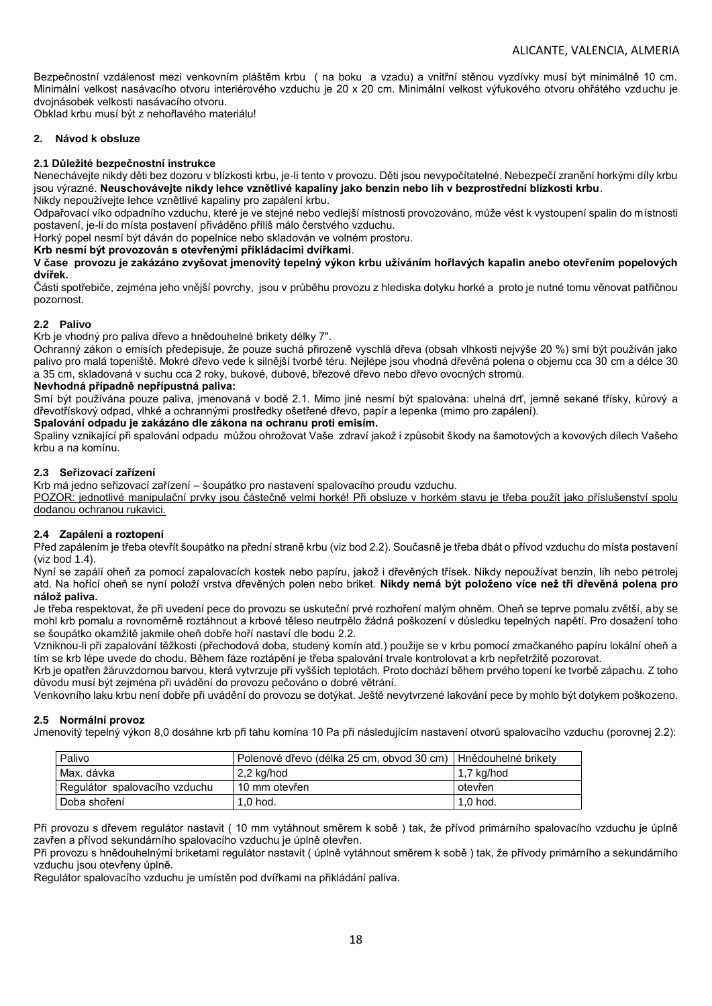Bezpečnostní vzdálenost mezi venkovním pláštěm krbu (na boku a vzadu) a vnitřní stěnou vyzdívky musí být minimálně 10 cm. Minimální velkost nasávacího otvoru interiérového vzduchu je 20 x 20 cm. Minimální velkost výfukového otvoru ohřátého vzduchu je dvojnásobek velkosti nasávacího otvoru.

Obklad krbu musí být z nehořlavého materiálu!

## **2. Návod k obsluze**

## **2.1 Důležité bezpečnostní instrukce**

Nenechávejte nikdy děti bez dozoru v blízkosti krbu, je-li tento v provozu. Děti jsou nevypočítatelné. Nebezpečí zranění horkými díly krbu jsou výrazné. **Neuschovávejte nikdy lehce vznětlivé kapaliny jako benzin nebo líh v bezprostřední blízkosti krbu**. Nikdy nepoužívejte lehce vznětlivé kapaliny pro zapálení krbu.

Odpařovací víko odpadního vzduchu, které je ve stejné nebo vedlejší místnosti provozováno, může vést k vystoupení spalin do místnosti postavení, je-li do místa postavení přiváděno příliš málo čerstvého vzduchu.

Horký popel nesmí být dáván do popelnice nebo skladován ve volném prostoru.

**Krb nesmí být provozován s otevřenými přikládacími dvířkami**.

**V čase provozu je zakázáno zvyšovat jmenovitý tepelný výkon krbu užíváním hořlavých kapalin anebo otevřením popelových dvířek.**

Části spotřebiče, zejména jeho vnější povrchy, jsou v průběhu provozu z hlediska dotyku horké a proto je nutné tomu věnovat patřičnou pozornost.

## **2.2 Palivo**

Krb je vhodný pro paliva dřevo a hnědouhelné brikety délky 7".

Ochranný zákon o emisích předepisuje, že pouze suchá přirozeně vyschlá dřeva (obsah vlhkosti nejvýše 20 %) smí být používán jako palivo pro malá topeniště. Mokré dřevo vede k silnější tvorbě téru. Nejlépe jsou vhodná dřevěná polena o objemu cca 30 cm a délce 30 a 35 cm, skladovaná v suchu cca 2 roky, bukové, dubové, březové dřevo nebo dřevo ovocných stromů.

## **Nevhodná případně nepřípustná paliva:**

Smí být používána pouze paliva, jmenovaná v bodě 2.1. Mimo jiné nesmí být spalována: uhelná drť, jemně sekané třísky, kůrový a dřevotřískový odpad, vlhké a ochrannými prostředky ošetřené dřevo, papír a lepenka (mimo pro zapálení).

### **Spalování odpadu je zakázáno dle zákona na ochranu proti emisím.**

Spaliny vznikající při spalování odpadu můžou ohrožovat Vaše zdraví jakož i způsobit škody na šamotových a kovových dílech Vašeho krbu a na komínu.

## **2.3 Seřizovací zařízení**

Krb má jedno seřizovací zařízení – šoupátko pro nastavení spalovacího proudu vzduchu.

POZOR: jednotlivé manipulační prvky jsou částečně velmi horké! Při obsluze v horkém stavu je třeba použít jako příslušenství spolu dodanou ochranou rukavici*.*

## **2.4 Zapálení a roztopení**

Před zapálením je třeba otevřít šoupátko na přední straně krbu (viz bod 2.2). Současně je třeba dbát o přívod vzduchu do místa postavení (viz bod 1.4).

Nyní se zapálí oheň za pomocí zapalovacích kostek nebo papíru, jakož i dřevěných třísek. Nikdy nepoužívat benzin, líh nebo petrolej atd. Na hořící oheň se nyní položí vrstva dřevěných polen nebo briket. **Nikdy nemá být položeno více než tři dřevěná polena pro nálož paliva.**

Je třeba respektovat, že při uvedení pece do provozu se uskuteční prvé rozhoření malým ohněm. Oheň se teprve pomalu zvětší, aby se mohl krb pomalu a rovnoměrně roztáhnout a krbové těleso neutrpělo žádná poškození v důsledku tepelných napětí. Pro dosažení toho se šoupátko okamžitě jakmile oheň dobře hoří nastaví dle bodu 2.2.

Vzniknou-li při zapalování těžkosti (přechodová doba, studený komín atd.) použije se v krbu pomocí zmačkaného papíru lokální oheň a tím se krb lépe uvede do chodu. Během fáze roztápění je třeba spalování trvale kontrolovat a krb nepřetržitě pozorovat.

Krb je opatřen žáruvzdornou barvou, která vytvrzuje při vyšších teplotách. Proto dochází během prvého topení ke tvorbě zápachu. Z toho důvodu musí být zejména při uvádění do provozu pečováno o dobré větrání.

Venkovního laku krbu není dobře při uvádění do provozu se dotýkat. Ještě nevytvrzené lakování pece by mohlo být dotykem poškozeno.

## **2.5 Normální provoz**

Jmenovitý tepelný výkon 8,0 dosáhne krb při tahu komína 10 Pa při následujícím nastavení otvorů spalovacího vzduchu (porovnej 2.2):

| 2.2 kg/hod    | $1.7$ kg/hod                                                    |
|---------------|-----------------------------------------------------------------|
| 10 mm otevřen | otevřen                                                         |
| $1,0$ hod.    | $1,0$ hod.                                                      |
|               | Polenové dřevo (délka 25 cm, obvod 30 cm)   Hnědouhelné brikety |

Při provozu s dřevem regulátor nastavit ( 10 mm vytáhnout směrem k sobě ) tak, že přívod primárního spalovacího vzduchu je úplně zavřen a přívod sekundárního spalovacího vzduchu je úplně otevřen.

Při provozu s hnědouhelnými briketami regulátor nastavit ( úplně vytáhnout směrem k sobě ) tak, že přívody primárního a sekundárního vzduchu jsou otevřeny úplně.

Regulátor spalovacího vzduchu je umístěn pod dvířkami na přikládání paliva.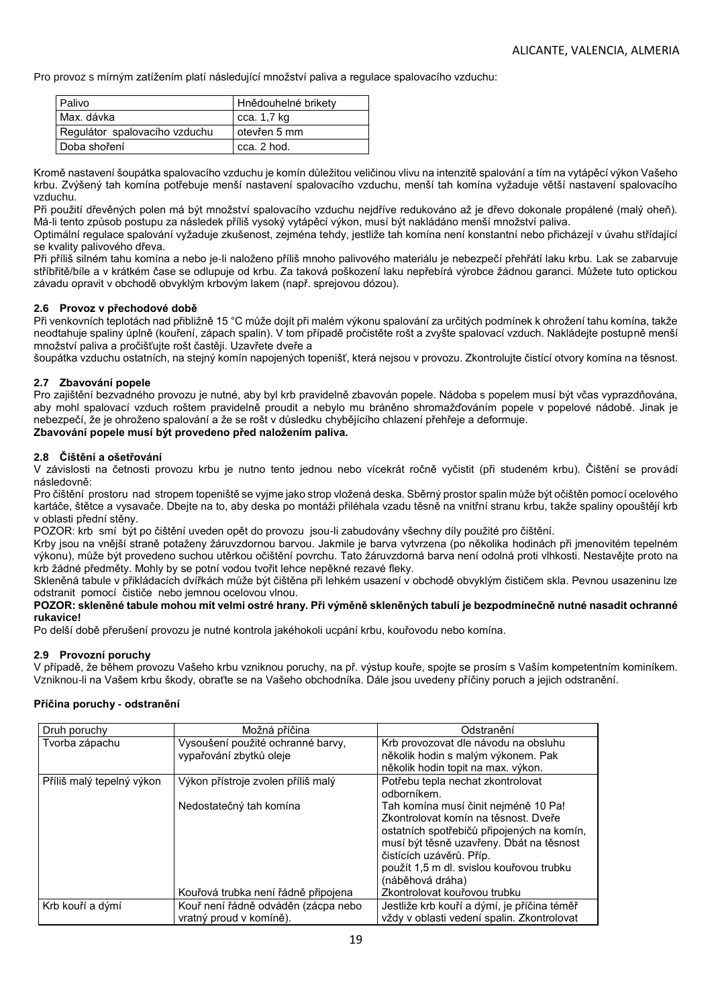Pro provoz s mírným zatížením platí následující množství paliva a regulace spalovacího vzduchu:

| Palivo                        | Hnědouhelné brikety |
|-------------------------------|---------------------|
| Max. dávka                    | cca. 1,7 kg         |
| Regulátor spalovacího vzduchu | otevřen 5 mm        |
| Doba shoření                  | cca. 2 hod.         |

Kromě nastavení šoupátka spalovacího vzduchu je komín důležitou veličinou vlivu na intenzitě spalování a tím na vytápěcí výkon Vašeho krbu. Zvýšený tah komína potřebuje menší nastavení spalovacího vzduchu, menší tah komína vyžaduje větší nastavení spalovacího vzduchu.

Při použití dřevěných polen má být množství spalovacího vzduchu nejdříve redukováno až je dřevo dokonale propálené (malý oheň). Má-li tento způsob postupu za následek příliš vysoký vytápěcí výkon, musí být nakládáno menší množství paliva.

Optimální regulace spalování vyžaduje zkušenost, zejména tehdy, jestliže tah komína není konstantní nebo přicházejí v úvahu střídající se kvality palivového dřeva.

Při příliš silném tahu komína a nebo je-li naloženo příliš mnoho palivového materiálu je nebezpečí přehřátí laku krbu. Lak se zabarvuje stříbřitě/bíle a v krátkém čase se odlupuje od krbu. Za taková poškození laku nepřebírá výrobce žádnou garanci. Můžete tuto optickou závadu opravit v obchodě obvyklým krbovým lakem (např. sprejovou dózou).

## **2.6 Provoz v přechodové době**

Při venkovních teplotách nad přibližně 15 °C může dojít při malém výkonu spalování za určitých podmínek k ohrožení tahu komína, takže neodtahuje spaliny úplně (kouření, zápach spalin). V tom případě pročistěte rošt a zvyšte spalovací vzduch. Nakládejte postupně menší množství paliva a pročišťujte rošt častěji. Uzavřete dveře a

šoupátka vzduchu ostatních, na stejný komín napojených topenišť, která nejsou v provozu. Zkontrolujte čistící otvory komína na těsnost.

## **2.7 Zbavování popele**

Pro zajištění bezvadného provozu je nutné, aby byl krb pravidelně zbavován popele. Nádoba s popelem musí být včas vyprazdňována, aby mohl spalovací vzduch roštem pravidelně proudit a nebylo mu bráněno shromažďováním popele v popelové nádobě. Jinak je nebezpečí, že je ohroženo spalování a že se rošt v důsledku chybějícího chlazení přehřeje a deformuje.

### **Zbavování popele musí být provedeno před naložením paliva.**

### **2.8 Čištění a ošetřování**

V závislosti na četnosti provozu krbu je nutno tento jednou nebo vícekrát ročně vyčistit (při studeném krbu). Čištění se provádí následovně:

Pro čištění prostoru nad stropem topeniště se vyjme jako strop vložená deska. Sběrný prostor spalin může být očištěn pomocí ocelového kartáče, štětce a vysavače. Dbejte na to, aby deska po montáži přiléhala vzadu těsně na vnitřní stranu krbu, takže spaliny opouštějí krb v oblasti přední stěny.

POZOR: krb smí být po čištění uveden opět do provozu jsou-li zabudovány všechny díly použité pro čištění.

Krby jsou na vnější straně potaženy žáruvzdornou barvou. Jakmile je barva vytvrzena (po několika hodinách při jmenovitém tepelném výkonu), může být provedeno suchou utěrkou očištění povrchu. Tato žáruvzdorná barva není odolná proti vlhkosti. Nestavějte proto na krb žádné předměty. Mohly by se potní vodou tvořit lehce nepěkné rezavé fleky.

Skleněná tabule v přikládacích dvířkách může být čištěna při lehkém usazení v obchodě obvyklým čističem skla. Pevnou usazeninu lze odstranit pomocí čističe nebo jemnou ocelovou vlnou.

### **POZOR: skleněné tabule mohou mít velmi ostré hrany. Při výměně skleněných tabulí je bezpodmínečně nutné nasadit ochranné rukavice!**

Po delší době přerušení provozu je nutné kontrola jakéhokoli ucpání krbu, kouřovodu nebo komína.

### **2.9 Provozní poruchy**

V případě, že během provozu Vašeho krbu vzniknou poruchy, na př. výstup kouře, spojte se prosím s Vaším kompetentním kominíkem. Vzniknou-li na Vašem krbu škody, obraťte se na Vašeho obchodníka. Dále jsou uvedeny příčiny poruch a jejich odstranění.

### **Příčina poruchy - odstranění**

| Druh poruchy              | Možná příčina                       | Odstranění                                  |
|---------------------------|-------------------------------------|---------------------------------------------|
| Tvorba zápachu            | Vysoušení použité ochranné barvy,   | Krb provozovat dle návodu na obsluhu        |
|                           | vypařování zbytků oleje             | několik hodin s malým výkonem. Pak          |
|                           |                                     | několik hodin topit na max. výkon.          |
| Příliš malý tepelný výkon | Výkon přístroje zvolen příliš malý  | Potřebu tepla nechat zkontrolovat           |
|                           |                                     | odborníkem.                                 |
|                           | Nedostatečný tah komína             | Tah komína musí činit nejméně 10 Pa!        |
|                           |                                     | Zkontrolovat komín na těsnost. Dveře        |
|                           |                                     | ostatních spotřebičů připojených na komín,  |
|                           |                                     | musí být těsně uzavřeny. Dbát na těsnost    |
|                           |                                     | čistících uzávěrů. Příp.                    |
|                           |                                     | použít 1,5 m dl. svislou kouřovou trubku    |
|                           |                                     | (náběhová dráha)                            |
|                           | Kouřová trubka není řádně připojena | Zkontrolovat kouřovou trubku                |
| Krb kouří a dýmí          | Kouř není řádně odváděn (zácpa nebo | Jestliže krb kouří a dýmí, je příčina téměř |
|                           | vratný proud v komíně).             | vždy v oblasti vedení spalin. Zkontrolovat  |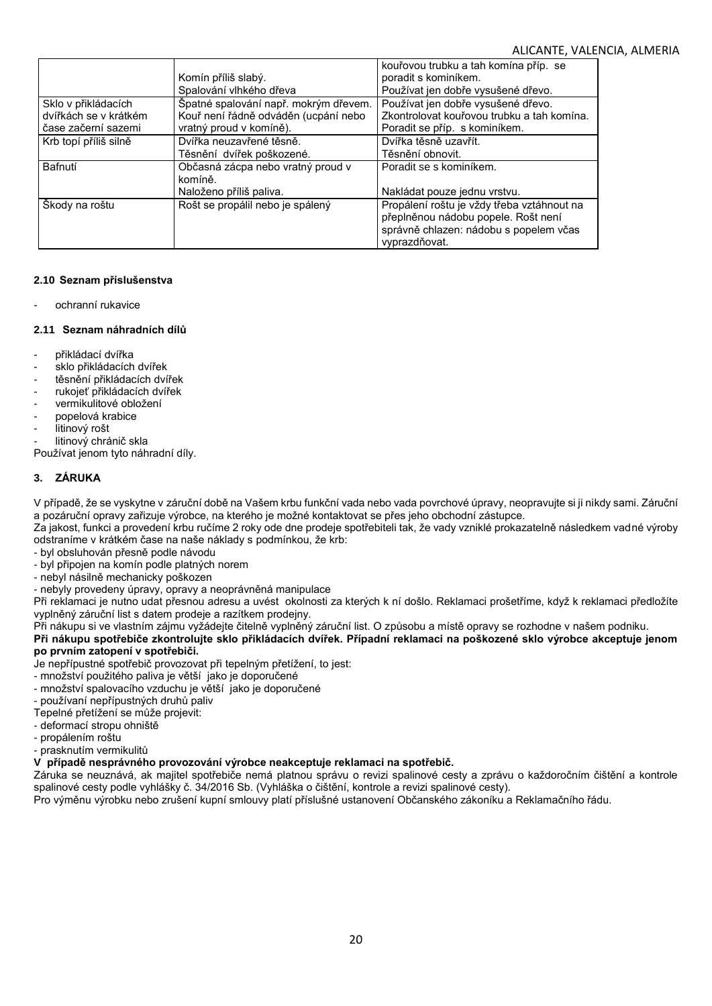|                       |                                       | kouřovou trubku a tah komína příp. se      |
|-----------------------|---------------------------------------|--------------------------------------------|
|                       | Komín příliš slabý.                   | poradit s kominíkem.                       |
|                       | Spalování vlhkého dřeva               | Používat jen dobře vysušené dřevo.         |
| Sklo v přikládacích   | Špatné spalování např. mokrým dřevem. | Používat jen dobře vysušené dřevo.         |
| dvířkách se v krátkém | Kouř není řádně odváděn (ucpání nebo  | Zkontrolovat kouřovou trubku a tah komína. |
| čase začerní sazemi   | vratný proud v komíně).               | Poradit se příp. s kominíkem.              |
| Krb topí příliš silně | Dvířka neuzavřené těsně.              | Dvířka těsně uzavřít.                      |
|                       | Těsnění dvířek poškozené.             | Těsnění obnovit.                           |
| Bafnutí               | Občasná zácpa nebo vratný proud v     | Poradit se s kominíkem.                    |
|                       | komíně.                               |                                            |
|                       | Naloženo příliš paliva.               | Nakládat pouze jednu vrstvu.               |
| Škody na roštu        | Rošt se propálil nebo je spálený      | Propálení roštu je vždy třeba vztáhnout na |
|                       |                                       | přeplněnou nádobu popele. Rošt není        |
|                       |                                       | správně chlazen: nádobu s popelem včas     |
|                       |                                       | vyprazdňovat.                              |

## **2.10 Seznam příslušenstva**

ochranní rukavice

## **2.11 Seznam náhradních dílů**

- přikládací dvířka
- sklo přikládacích dvířek
- těsnění přikládacích dvířek
- rukojeť přikládacích dvířek
- vermikulitové obložení
- popelová krabice
- litinový rošt
- litinový chránič skla

Používat jenom tyto náhradní díly.

## **3. ZÁRUKA**

V případě, že se vyskytne v záruční době na Vašem krbu funkční vada nebo vada povrchové úpravy, neopravujte si ji nikdy sami. Záruční a pozáruční opravy zařizuje výrobce, na kterého je možné kontaktovat se přes jeho obchodní zástupce.

Za jakost, funkci a provedení krbu ručíme 2 roky ode dne prodeje spotřebiteli tak, že vady vzniklé prokazatelně následkem vadné výroby odstraníme v krátkém čase na naše náklady s podmínkou, že krb:

- byl obsluhován přesně podle návodu
- byl připojen na komín podle platných norem
- nebyl násilně mechanicky poškozen
- nebyly provedeny úpravy, opravy a neoprávněná manipulace

Při reklamaci je nutno udat přesnou adresu a uvést okolnosti za kterých k ní došlo. Reklamaci prošetříme, když k reklamaci předložíte vyplněný záruční list s datem prodeje a razítkem prodejny.

Při nákupu si ve vlastním zájmu vyžádejte čitelně vyplněný záruční list. O způsobu a místě opravy se rozhodne v našem podniku.

**Při nákupu spotřebiče zkontrolujte sklo přikládacích dvířek. Případní reklamaci na poškozené sklo výrobce akceptuje jenom po prvním zatopení v spotřebiči.**

Je nepřípustné spotřebič provozovat při tepelným přetížení, to jest:

- množství použitého paliva je větší jako je doporučené
- množství spalovacího vzduchu je větší jako je doporučené
- používaní nepřípustných druhů paliv
- Tepelné přetížení se může projevit:

- deformací stropu ohniště

- propálením roštu
- prasknutím vermikulitů

## **V případě nesprávného provozování výrobce neakceptuje reklamaci na spotřebič.**

Záruka se neuznává, ak majitel spotřebiče nemá platnou správu o revizi spalinové cesty a zprávu o každoročním čištění a kontrole spalinové cesty podle vyhlášky č. 34/2016 Sb. (Vyhláška o čištění, kontrole a revizi spalinové cesty).

Pro výměnu výrobku nebo zrušení kupní smlouvy platí příslušné ustanovení Občanského zákoníku a Reklamačního řádu.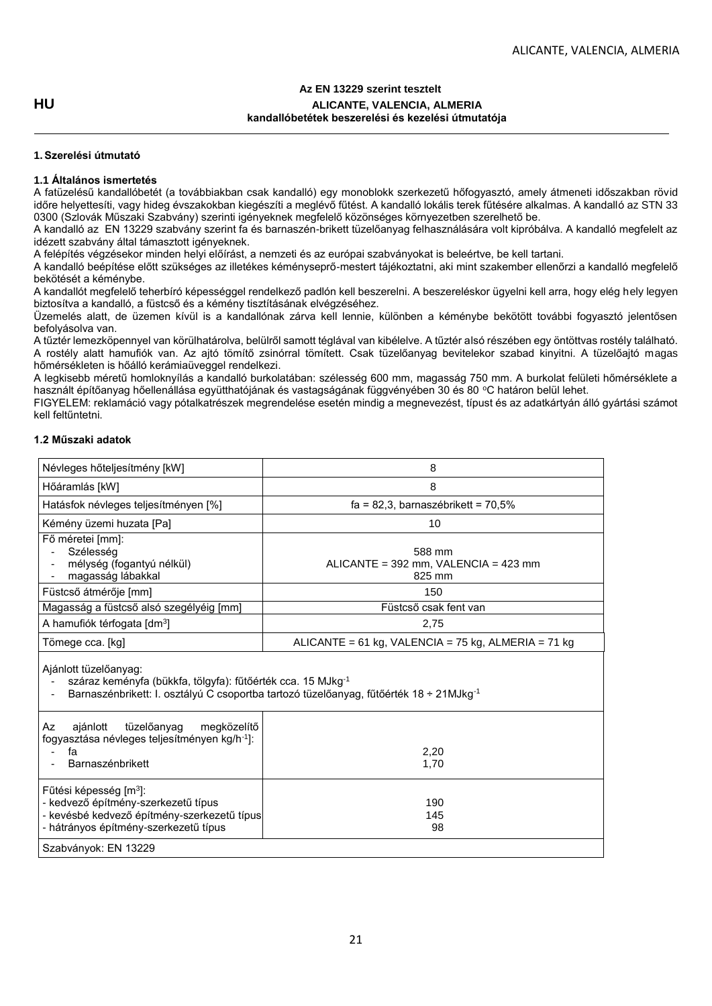## **Az EN 13229 szerint tesztelt HU ALICANTE, VALENCIA, ALMERIA kandallóbetétek beszerelési és kezelési útmutatója**

## **1.Szerelési útmutató**

## **1.1 Általános ismertetés**

A fatüzelésű kandallóbetét (a továbbiakban csak kandalló) egy monoblokk szerkezetű hőfogyasztó, amely átmeneti időszakban rövid időre helyettesíti, vagy hideg évszakokban kiegészíti a meglévő fűtést. A kandalló lokális terek fűtésére alkalmas. A kandalló az STN 33 0300 (Szlovák Műszaki Szabvány) szerinti igényeknek megfelelő közönséges környezetben szerelhető be.

A kandalló az EN 13229 szabvány szerint fa és barnaszén-brikett tüzelőanyag felhasználására volt kipróbálva. A kandalló megfelelt az idézett szabvány által támasztott igényeknek.

A felépítés végzésekor minden helyi előírást, a nemzeti és az európai szabványokat is beleértve, be kell tartani.

A kandalló beépítése előtt szükséges az illetékes kéményseprő-mestert tájékoztatni, aki mint szakember ellenőrzi a kandalló megfelelő bekötését a kéménybe.

A kandallót megfelelő teherbíró képességgel rendelkező padlón kell beszerelni. A beszereléskor ügyelni kell arra, hogy elég hely legyen biztosítva a kandalló, a füstcső és a kémény tisztításának elvégzéséhez.

Üzemelés alatt, de üzemen kívül is a kandallónak zárva kell lennie, különben a kéménybe bekötött további fogyasztó jelentősen befolyásolva van.

A tűztér lemezköpennyel van körülhatárolva, belülről samott téglával van kibélelve. A tűztér alsó részében egy öntöttvas rostély található. A rostély alatt hamufiók van. Az ajtó tömítő zsinórral tömített. Csak tüzelőanyag bevitelekor szabad kinyitni. A tüzelőajtó magas hőmérsékleten is hőálló kerámiaüveggel rendelkezi.

A legkisebb méretű homloknyílás a kandalló burkolatában: szélesség 600 mm, magasság 750 mm. A burkolat felületi hőmérséklete a használt építőanyag hőellenállása együtthatójának és vastagságának függvényében 30 és 80 °C határon belül lehet.

FIGYELEM: reklamáció vagy pótalkatrészek megrendelése esetén mindig a megnevezést, típust és az adatkártyán álló gyártási számot kell feltűntetni.

## **1.2 Műszaki adatok**

| Névleges hőteljesítmény [kW]                                                                                                                                      | 8                                                                                                  |  |
|-------------------------------------------------------------------------------------------------------------------------------------------------------------------|----------------------------------------------------------------------------------------------------|--|
| Hőáramlás [kW]                                                                                                                                                    | 8                                                                                                  |  |
| Hatásfok névleges teljesítményen [%]                                                                                                                              | $fa = 82.3$ , barnaszébrikett = 70,5%                                                              |  |
| Kémény üzemi huzata [Pa]                                                                                                                                          | 10                                                                                                 |  |
| Fő méretei [mm]:<br>Szélesség<br>mélység (fogantyú nélkül)<br>magasság lábakkal                                                                                   | 588 mm<br>ALICANTE = 392 mm, VALENCIA = 423 mm<br>825 mm                                           |  |
| Füstcső átmérője [mm]                                                                                                                                             | 150                                                                                                |  |
| Magasság a füstcső alsó szegélyéig [mm]                                                                                                                           | Füstcső csak fent van                                                                              |  |
| A hamufiók térfogata [dm <sup>3</sup> ]                                                                                                                           | 2,75                                                                                               |  |
| ALICANTE = $61$ kg, VALENCIA = $75$ kg, ALMERIA = $71$ kg<br>Tömege cca. [kg]                                                                                     |                                                                                                    |  |
| Ajánlott tüzelőanyag:<br>száraz keményfa (bükkfa, tölgyfa): fűtőérték cca. 15 MJkg <sup>-1</sup>                                                                  | Barnaszénbrikett: I. osztályú C csoportba tartozó tüzelőanyag, fűtőérték 18 ÷ 21MJkg <sup>-1</sup> |  |
| tüzelőanyag<br>megközelítő<br>ajánlott<br>Az<br>fogyasztása névleges teljesítményen kg/h <sup>-1</sup> ]:<br>fa<br>2,20<br><b>Barnaszénbrikett</b><br>1,70        |                                                                                                    |  |
| Fűtési képesség [m <sup>3</sup> ]:<br>- kedvező építmény-szerkezetű típus<br>- kevésbé kedvező építmény-szerkezetű típus<br>- hátrányos építmény-szerkezetű típus | 190<br>145<br>98                                                                                   |  |
| Szabványok: EN 13229                                                                                                                                              |                                                                                                    |  |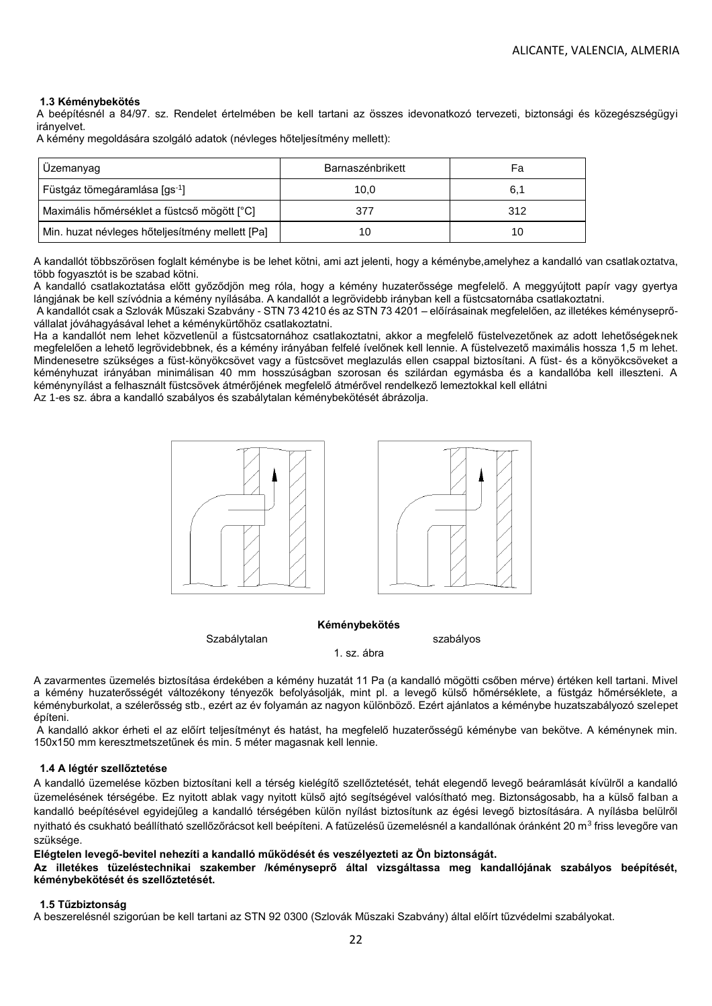### **1.3 Kéménybekötés**

A beépítésnél a 84/97. sz. Rendelet értelmében be kell tartani az összes idevonatkozó tervezeti, biztonsági és közegészségügyi irányelvet.

A kémény megoldására szolgáló adatok (névleges hőteljesítmény mellett):

| , Uzemanyag                                     | Barnaszénbrikett | Fa  |
|-------------------------------------------------|------------------|-----|
| Füstgáz tömegáramlása [gs <sup>-1</sup> ]       | 10.0             |     |
| Maximális hőmérséklet a füstcső mögött [°C]     | 377              | 312 |
| Min. huzat névleges hőteljesítmény mellett [Pa] | 10               | 10  |

A kandallót többszörösen foglalt kéménybe is be lehet kötni, ami azt jelenti, hogy a kéménybe,amelyhez a kandalló van csatlakoztatva, több fogyasztót is be szabad kötni.

A kandalló csatlakoztatása előtt győződjön meg róla, hogy a kémény huzaterőssége megfelelő. A meggyújtott papír vagy gyertya lángjának be kell szívódnia a kémény nyílásába. A kandallót a legrövidebb irányban kell a füstcsatornába csatlakoztatni.

A kandallót csak a Szlovák Műszaki Szabvány - STN 73 4210 és az STN 73 4201 – előírásainak megfelelően, az illetékes kéményseprővállalat jóváhagyásával lehet a kéménykürtőhöz csatlakoztatni.

Ha a kandallót nem lehet közvetlenül a füstcsatornához csatlakoztatni, akkor a megfelelő füstelvezetőnek az adott lehetőségeknek megfelelően a lehető legrövidebbnek, és a kémény irányában felfelé ívelőnek kell lennie. A füstelvezető maximális hossza 1,5 m lehet. Mindenesetre szükséges a füst-könyökcsövet vagy a füstcsövet meglazulás ellen csappal biztosítani. A füst- és a könyökcsöveket a kéményhuzat irányában minimálisan 40 mm hosszúságban szorosan és szilárdan egymásba és a kandallóba kell illeszteni. A kéménynyílást a felhasznált füstcsövek átmérőjének megfelelő átmérővel rendelkező lemeztokkal kell ellátni

Az 1-es sz. ábra a kandalló szabályos és szabálytalan kéménybekötését ábrázolja.



### **Kéménybekötés**

Szabálytalan szabályos szabályos

1. sz. ábra

A zavarmentes üzemelés biztosítása érdekében a kémény huzatát 11 Pa (a kandalló mögötti csőben mérve) értéken kell tartani. Mivel a kémény huzaterősségét változékony tényezők befolyásolják, mint pl. a levegő külső hőmérséklete, a füstgáz hőmérséklete, a kéményburkolat, a szélerősség stb., ezért az év folyamán az nagyon különböző. Ezért ajánlatos a kéménybe huzatszabályozó szelepet építeni.

A kandalló akkor érheti el az előírt teljesítményt és hatást, ha megfelelő huzaterősségű kéménybe van bekötve. A kéménynek min. 150x150 mm keresztmetszetűnek és min. 5 méter magasnak kell lennie.

### **1.4 A légtér szellőztetése**

A kandalló üzemelése közben biztosítani kell a térség kielégítő szellőztetését, tehát elegendő levegő beáramlását kívülről a kandalló üzemelésének térségébe. Ez nyitott ablak vagy nyitott külső ajtó segítségével valósítható meg. Biztonságosabb, ha a külső falban a kandalló beépítésével egyidejűleg a kandalló térségében külön nyílást biztosítunk az égési levegő biztosítására. A nyílásba belülről nyitható és csukható beállítható szellőzőrácsot kell beépíteni. A fatüzelésű üzemelésnél a kandallónak óránként 20 m $^3$  friss levegőre van szüksége.

### **Elégtelen levegő-bevitel nehezíti a kandalló működését és veszélyezteti az Ön biztonságát.**

**Az illetékes tüzeléstechnikai szakember /kéményseprő által vizsgáltassa meg kandallójának szabályos beépítését, kéménybekötését és szellőztetését.** 

#### **1.5 Tűzbiztonság**

A beszerelésnél szigorúan be kell tartani az STN 92 0300 (Szlovák Műszaki Szabvány) által előírt tűzvédelmi szabályokat.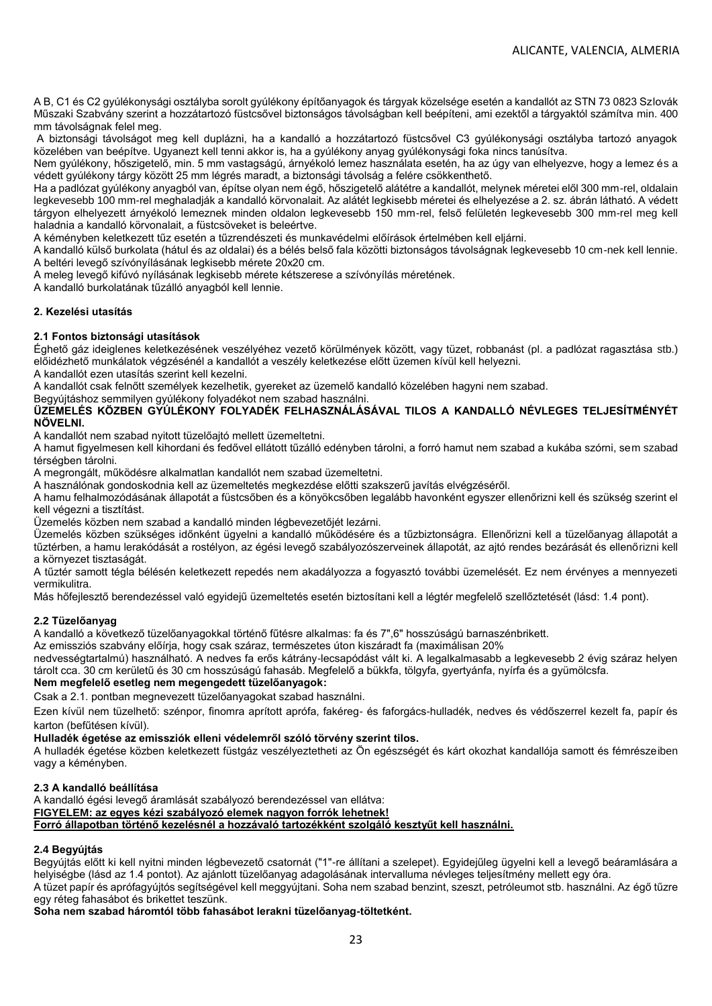A B, C1 és C2 gyúlékonysági osztályba sorolt gyúlékony építőanyagok és tárgyak közelsége esetén a kandallót az STN 73 0823 Szlovák Műszaki Szabvány szerint a hozzátartozó füstcsővel biztonságos távolságban kell beépíteni, ami ezektől a tárgyaktól számítva min. 400 mm távolságnak felel meg.

A biztonsági távolságot meg kell duplázni, ha a kandalló a hozzátartozó füstcsővel C3 gyúlékonysági osztályba tartozó anyagok közelében van beépítve. Ugyanezt kell tenni akkor is, ha a gyúlékony anyag gyúlékonysági foka nincs tanúsítva.

Nem gyúlékony, hőszigetelő, min. 5 mm vastagságú, árnyékoló lemez használata esetén, ha az úgy van elhelyezve, hogy a lemez és a védett gyúlékony tárgy között 25 mm légrés maradt, a biztonsági távolság a felére csökkenthető.

Ha a padlózat gyúlékony anyagból van, építse olyan nem égő, hőszigetelő alátétre a kandallót, melynek méretei elől 300 mm-rel, oldalain legkevesebb 100 mm-rel meghaladják a kandalló körvonalait. Az alátét legkisebb méretei és elhelyezése a 2. sz. ábrán látható. A védett tárgyon elhelyezett árnyékoló lemeznek minden oldalon legkevesebb 150 mm-rel, felső felületén legkevesebb 300 mm-rel meg kell haladnia a kandalló körvonalait, a füstcsöveket is beleértve.

A kéményben keletkezett tűz esetén a tűzrendészeti és munkavédelmi előírások értelmében kell eljárni.

A kandalló külső burkolata (hátul és az oldalai) és a bélés belső fala közötti biztonságos távolságnak legkevesebb 10 cm-nek kell lennie. A beltéri levegő szívónyílásának legkisebb mérete 20x20 cm.

A meleg levegő kifúvó nyílásának legkisebb mérete kétszerese a szívónyílás méretének.

A kandalló burkolatának tűzálló anyagból kell lennie.

### **2. Kezelési utasítás**

### **2.1 Fontos biztonsági utasítások**

Éghető gáz ideiglenes keletkezésének veszélyéhez vezető körülmények között, vagy tüzet, robbanást (pl. a padlózat ragasztása stb.) előidézhető munkálatok végzésénél a kandallót a veszély keletkezése előtt üzemen kívül kell helyezni.

A kandallót ezen utasítás szerint kell kezelni.

A kandallót csak felnőtt személyek kezelhetik, gyereket az üzemelő kandalló közelében hagyni nem szabad.

### Begyújtáshoz semmilyen gyúlékony folyadékot nem szabad használni.

### **ÜZEMELÉS KÖZBEN GYÚLÉKONY FOLYADÉK FELHASZNÁLÁSÁVAL TILOS A KANDALLÓ NÉVLEGES TELJESÍTMÉNYÉT NÖVELNI.**

A kandallót nem szabad nyitott tüzelőajtó mellett üzemeltetni.

A hamut figyelmesen kell kihordani és fedővel ellátott tűzálló edényben tárolni, a forró hamut nem szabad a kukába szórni, sem szabad térségben tárolni.

A megrongált, működésre alkalmatlan kandallót nem szabad üzemeltetni.

A használónak gondoskodnia kell az üzemeltetés megkezdése előtti szakszerű javítás elvégzéséről.

A hamu felhalmozódásának állapotát a füstcsőben és a könyökcsőben legalább havonként egyszer ellenőrizni kell és szükség szerint el kell végezni a tisztítást.

Üzemelés közben nem szabad a kandalló minden légbevezetőjét lezárni.

Üzemelés közben szükséges időnként ügyelni a kandalló működésére és a tűzbiztonságra. Ellenőrizni kell a tüzelőanyag állapotát a tűztérben, a hamu lerakódását a rostélyon, az égési levegő szabályozószerveinek állapotát, az ajtó rendes bezárását és ellenőrizni kell a környezet tisztaságát.

A tűztér samott tégla bélésén keletkezett repedés nem akadályozza a fogyasztó további üzemelését. Ez nem érvényes a mennyezeti vermikulitra.

Más hőfejlesztő berendezéssel való egyidejű üzemeltetés esetén biztosítani kell a légtér megfelelő szellőztetését (lásd: 1.4 pont).

## **2.2 Tüzelőanyag**

A kandalló a következő tüzelőanyagokkal történő fűtésre alkalmas: fa és 7",6" hosszúságú barnaszénbrikett.

Az emissziós szabvány előírja, hogy csak száraz, természetes úton kiszáradt fa (maximálisan 20%

nedvességtartalmú) használható. A nedves fa erős kátrány-lecsapódást vált ki. A legalkalmasabb a legkevesebb 2 évig száraz helyen tárolt cca. 30 cm kerületű és 30 cm hosszúságú fahasáb. Megfelelő a bükkfa, tölgyfa, gyertyánfa, nyírfa és a gyümölcsfa.

### **Nem megfelelő esetleg nem megengedett tüzelőanyagok:**

Csak a 2.1. pontban megnevezett tüzelőanyagokat szabad használni.

Ezen kívül nem tüzelhető: szénpor, finomra aprított aprófa, fakéreg- és faforgács-hulladék, nedves és védőszerrel kezelt fa, papír és karton (befűtésen kívül).

## **Hulladék égetése az emissziók elleni védelemről szóló törvény szerint tilos.**

A hulladék égetése közben keletkezett füstgáz veszélyeztetheti az Ön egészségét és kárt okozhat kandallója samott és fémrészeiben vagy a kéményben.

## **2.3 A kandalló beállítása**

A kandalló égési levegő áramlását szabályozó berendezéssel van ellátva: **FIGYELEM: az egyes kézi szabályozó elemek nagyon forrók lehetnek! Forró állapotban történő kezelésnél a hozzávaló tartozékként szolgáló kesztyűt kell használni.** 

## **2.4 Begyújtás**

Begyújtás előtt ki kell nyitni minden légbevezető csatornát ("1"-re állítani a szelepet). Egyidejűleg ügyelni kell a levegő beáramlására a helyiségbe (lásd az 1.4 pontot). Az ajánlott tüzelőanyag adagolásának intervalluma névleges teljesítmény mellett egy óra.

A tüzet papír és aprófagyújtós segítségével kell meggyújtani. Soha nem szabad benzint, szeszt, petróleumot stb. használni. Az égő tűzre egy réteg fahasábot és brikettet teszünk.

**Soha nem szabad háromtól több fahasábot lerakni tüzelőanyag-töltetként.**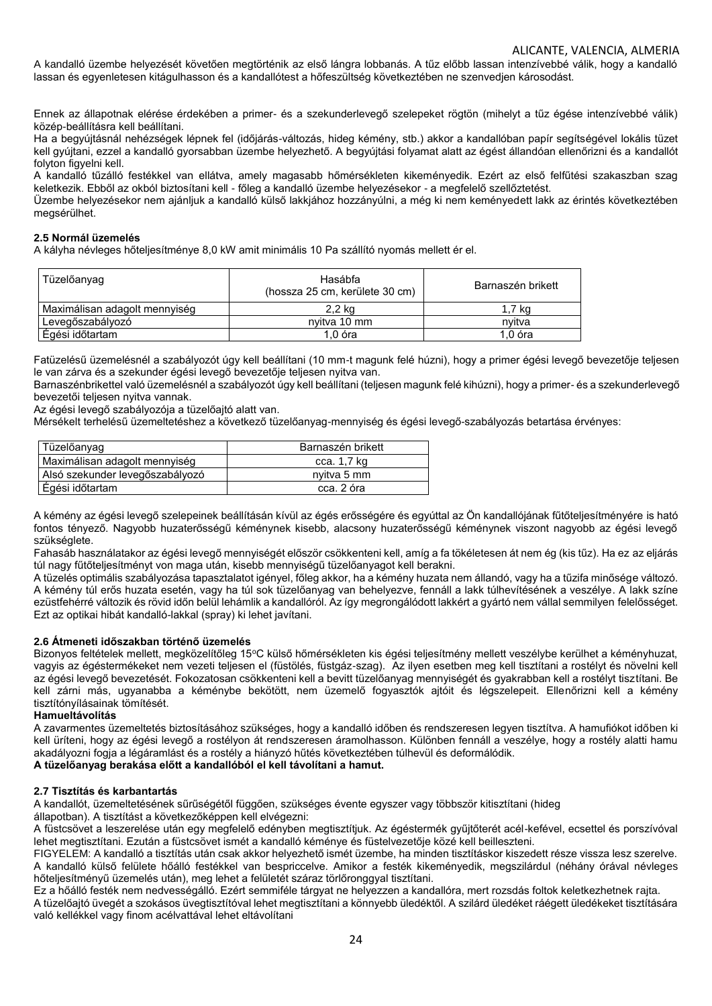A kandalló üzembe helyezését követően megtörténik az első lángra lobbanás. A tűz előbb lassan intenzívebbé válik, hogy a kandalló lassan és egyenletesen kitágulhasson és a kandallótest a hőfeszültség következtében ne szenvedjen károsodást.

Ennek az állapotnak elérése érdekében a primer- és a szekunderlevegő szelepeket rögtön (mihelyt a tűz égése intenzívebbé válik) közép-beállításra kell beállítani.

Ha a begyújtásnál nehézségek lépnek fel (időjárás-változás, hideg kémény, stb.) akkor a kandallóban papír segítségével lokális tüzet kell gyújtani, ezzel a kandalló gyorsabban üzembe helyezhető. A begyújtási folyamat alatt az égést állandóan ellenőrizni és a kandallót folyton figyelni kell.

A kandalló tűzálló festékkel van ellátva, amely magasabb hőmérsékleten kikeményedik. Ezért az első felfűtési szakaszban szag keletkezik. Ebből az okból biztosítani kell - főleg a kandalló üzembe helyezésekor - a megfelelő szellőztetést.

Üzembe helyezésekor nem ajánljuk a kandalló külső lakkjához hozzányúlni, a még ki nem keményedett lakk az érintés következtében megsérülhet.

### **2.5 Normál üzemelés**

A kályha névleges hőteljesítménye 8,0 kW amit minimális 10 Pa szállító nyomás mellett ér el.

| Tüzelőanyag                   | Hasábfa<br>(hossza 25 cm, kerülete 30 cm) | Barnaszén brikett |
|-------------------------------|-------------------------------------------|-------------------|
| Maximálisan adagolt mennyiség | 2,2 kg                                    | 1.7 kg            |
| Levegőszabályozó              | nvitva 10 mm                              | nvitva            |
| Égési időtartam               | $1.0$ óra                                 | $1.0$ óra         |

Fatüzelésű üzemelésnél a szabályozót úgy kell beállítani (10 mm-t magunk felé húzni), hogy a primer égési levegő bevezetője teljesen le van zárva és a szekunder égési levegő bevezetője teljesen nyitva van.

Barnaszénbrikettel való üzemelésnél a szabályozót úgy kell beállítani (teljesen magunk felé kihúzni), hogy a primer- és a szekunderlevegő bevezetői teljesen nyitva vannak.

Az égési levegő szabályozója a tüzelőajtó alatt van.

Mérsékelt terhelésű üzemeltetéshez a következő tüzelőanyag-mennyiség és égési levegő-szabályozás betartása érvényes:

| Tüzelőanyag                     | Barnaszén brikett |
|---------------------------------|-------------------|
| Maximálisan adagolt mennyiség   | cca. 1,7 kg       |
| Alsó szekunder levegőszabályozó | nyitva 5 mm       |
| Égési időtartam                 | cca. 2 óra        |

A kémény az égési levegő szelepeinek beállításán kívül az égés erősségére és egyúttal az Ön kandallójának fűtőteljesítményére is ható fontos tényező. Nagyobb huzaterősségű kéménynek kisebb, alacsony huzaterősségű kéménynek viszont nagyobb az égési levegő szükséglete.

Fahasáb használatakor az égési levegő mennyiségét először csökkenteni kell, amíg a fa tökéletesen át nem ég (kis tűz). Ha ez az eljárás túl nagy fűtőteljesítményt von maga után, kisebb mennyiségű tüzelőanyagot kell berakni.

A tüzelés optimális szabályozása tapasztalatot igényel, főleg akkor, ha a kémény huzata nem állandó, vagy ha a tűzifa minősége változó. A kémény túl erős huzata esetén, vagy ha túl sok tüzelőanyag van behelyezve, fennáll a lakk túlhevítésének a veszélye. A lakk színe ezüstfehérré változik és rövid időn belül lehámlik a kandallóról. Az így megrongálódott lakkért a gyártó nem vállal semmilyen felelősséget. Ezt az optikai hibát kandalló-lakkal (spray) ki lehet javítani.

### **2.6 Átmeneti időszakban történő üzemelés**

Bizonyos feltételek mellett, megközelítőleg 15°C külső hőmérsékleten kis égési teljesítmény mellett veszélybe kerülhet a kéményhuzat, vagyis az égéstermékeket nem vezeti teljesen el (füstölés, füstgáz-szag). Az ilyen esetben meg kell tisztítani a rostélyt és növelni kell az égési levegő bevezetését. Fokozatosan csökkenteni kell a bevitt tüzelőanyag mennyiségét és gyakrabban kell a rostélyt tisztítani. Be kell zárni más, ugyanabba a kéménybe bekötött, nem üzemelő fogyasztók ajtóit és légszelepeit. Ellenőrizni kell a kémény tisztítónyílásainak tömítését.

## **Hamueltávolítás**

A zavarmentes üzemeltetés biztosításához szükséges, hogy a kandalló időben és rendszeresen legyen tisztítva. A hamufiókot időben ki kell üríteni, hogy az égési levegő a rostélyon át rendszeresen áramolhasson. Különben fennáll a veszélye, hogy a rostély alatti hamu akadályozni fogja a légáramlást és a rostély a hiányzó hűtés következtében túlhevül és deformálódik.

## **A tüzelőanyag berakása előtt a kandallóból el kell távolítani a hamut.**

### **2.7 Tisztítás és karbantartás**

A kandallót, üzemeltetésének sűrűségétől függően, szükséges évente egyszer vagy többször kitisztítani (hideg

állapotban). A tisztítást a következőképpen kell elvégezni:

A füstcsövet a leszerelése után egy megfelelő edényben megtisztítjuk. Az égéstermék gyűjtőterét acél-kefével, ecsettel és porszívóval lehet megtisztítani. Ezután a füstcsövet ismét a kandalló kéménye és füstelvezetője közé kell beilleszteni.

FIGYELEM: A kandalló a tisztítás után csak akkor helyezhető ismét üzembe, ha minden tisztításkor kiszedett része vissza lesz szerelve. A kandalló külső felülete hőálló festékkel van bespriccelve. Amikor a festék kikeményedik, megszilárdul (néhány órával névleges hőteljesítményű üzemelés után), meg lehet a felületét száraz törlőronggyal tisztítani.

Ez a hőálló festék nem nedvességálló. Ezért semmiféle tárgyat ne helyezzen a kandallóra, mert rozsdás foltok keletkezhetnek rajta. A tüzelőajtó üvegét a szokásos üvegtisztítóval lehet megtisztítani a könnyebb üledéktől. A szilárd üledéket ráégett üledékeket tisztítására való kellékkel vagy finom acélvattával lehet eltávolítani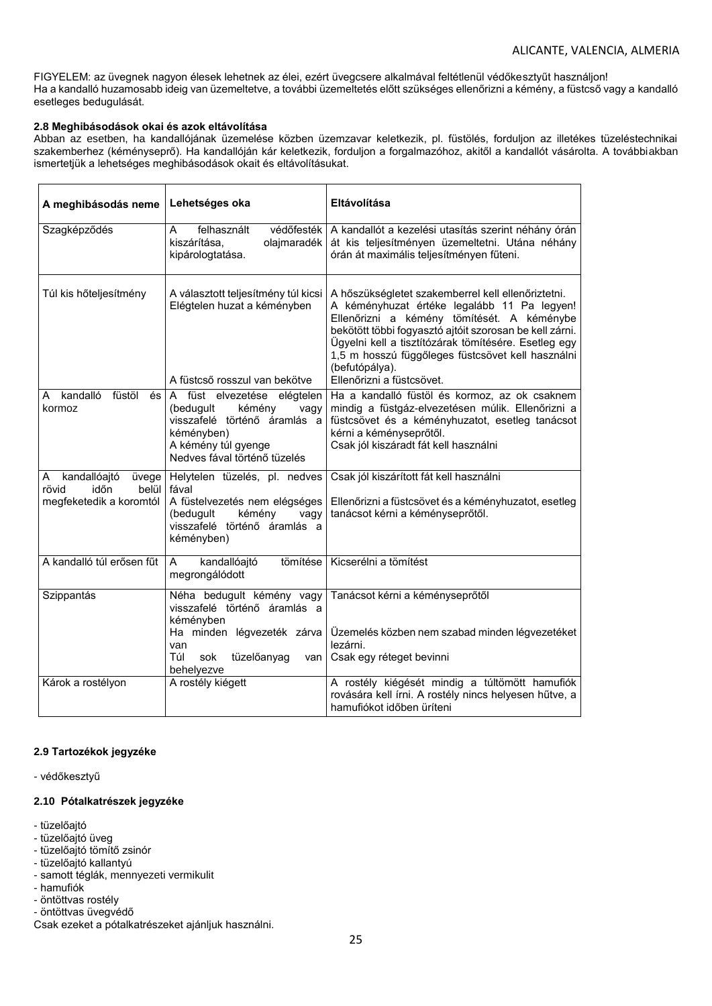FIGYELEM: az üvegnek nagyon élesek lehetnek az élei, ezért üvegcsere alkalmával feltétlenül védőkesztyűt használjon! Ha a kandalló huzamosabb ideig van üzemeltetve, a további üzemeltetés előtt szükséges ellenőrizni a kémény, a füstcső vagy a kandalló esetleges bedugulását.

### **2.8 Meghibásodások okai és azok eltávolítása**

Abban az esetben, ha kandallójának üzemelése közben üzemzavar keletkezik, pl. füstölés, forduljon az illetékes tüzeléstechnikai szakemberhez (kéményseprő). Ha kandallóján kár keletkezik, forduljon a forgalmazóhoz, akitől a kandallót vásárolta. A továbbiakban ismertetjük a lehetséges meghibásodások okait és eltávolításukat.

| A meghibásodás neme                                                             | Lehetséges oka                                                                                                                                                  | Eltávolítása                                                                                                                                                                                                                                                                                                                                                           |
|---------------------------------------------------------------------------------|-----------------------------------------------------------------------------------------------------------------------------------------------------------------|------------------------------------------------------------------------------------------------------------------------------------------------------------------------------------------------------------------------------------------------------------------------------------------------------------------------------------------------------------------------|
| Szagképződés                                                                    | felhasznált<br>védőfesték<br>A<br>kiszárítása,<br>olajmaradék<br>kipárologtatása.                                                                               | A kandallót a kezelési utasítás szerint néhány órán<br>át kis teljesítményen üzemeltetni. Utána néhány<br>órán át maximális teljesítményen fűteni.                                                                                                                                                                                                                     |
| Túl kis hőteljesítmény                                                          | A választott teljesítmény túl kicsi<br>Elégtelen huzat a kéményben<br>A füstcső rosszul van bekötve                                                             | A hőszükségletet szakemberrel kell ellenőriztetni.<br>A kéményhuzat értéke legalább 11 Pa legyen!<br>Ellenőrizni a kémény tömítését. A kéménybe<br>bekötött többi fogyasztó ajtóit szorosan be kell zárni.<br>Ügyelni kell a tisztítózárak tömítésére. Esetleg egy<br>1,5 m hosszú függőleges füstcsövet kell használni<br>(befutópálya).<br>Ellenőrizni a füstcsövet. |
| kandalló<br>füstöl<br>és<br>A<br>kormoz                                         | A füst elvezetése elégtelen<br>(bedugult<br>kémény<br>vagy<br>visszafelé történő áramlás a<br>kéményben)<br>A kémény túl gyenge<br>Nedves fával történő tüzelés | Ha a kandalló füstöl és kormoz, az ok csaknem<br>mindig a füstgáz-elvezetésen múlik. Ellenőrizni a<br>füstcsövet és a kéményhuzatot, esetleg tanácsot<br>kérni a kéményseprőtől.<br>Csak jól kiszáradt fát kell használni                                                                                                                                              |
| kandallóajtó<br>üvege<br>A<br>időn<br>rövid<br>belül<br>megfeketedik a koromtól | Helytelen tüzelés, pl. nedves<br>fával<br>A füstelvezetés nem elégséges<br>(bedugult<br>kémény<br>vagy<br>visszafelé történő áramlás a<br>kéményben)            | Csak jól kiszárított fát kell használni<br>Ellenőrizni a füstcsövet és a kéményhuzatot, esetleg<br>tanácsot kérni a kéményseprőtől.                                                                                                                                                                                                                                    |
| A kandalló túl erősen fűt                                                       | tömítése<br>kandallóajtó<br>A<br>megrongálódott                                                                                                                 | Kicserélni a tömítést                                                                                                                                                                                                                                                                                                                                                  |
| Szippantás                                                                      | Néha bedugult kémény vagy<br>visszafelé történő áramlás a<br>kéményben<br>Ha minden légvezeték zárva<br>van<br>Túl<br>tüzelőanyag<br>sok<br>behelyezve          | Tanácsot kérni a kéményseprőtől<br>Üzemelés közben nem szabad minden légvezetéket<br>lezárni.<br>van   Csak egy réteget bevinni                                                                                                                                                                                                                                        |
| Károk a rostélyon                                                               | A rostély kiégett                                                                                                                                               | A rostély kiégését mindig a túltömött hamufiók<br>rovására kell írni. A rostély nincs helyesen hűtve, a<br>hamufiókot időben üríteni                                                                                                                                                                                                                                   |

## **2.9 Tartozékok jegyzéke**

- védőkesztyű

### **2.10 Pótalkatrészek jegyzéke**

- tüzelőajtó
- tüzelőajtó üveg
- tüzelőajtó tömítő zsinór
- tüzelőajtó kallantyú
- samott téglák, mennyezeti vermikulit
- hamufiók
- öntöttvas rostély
- öntöttvas üvegvédő

Csak ezeket a pótalkatrészeket ajánljuk használni.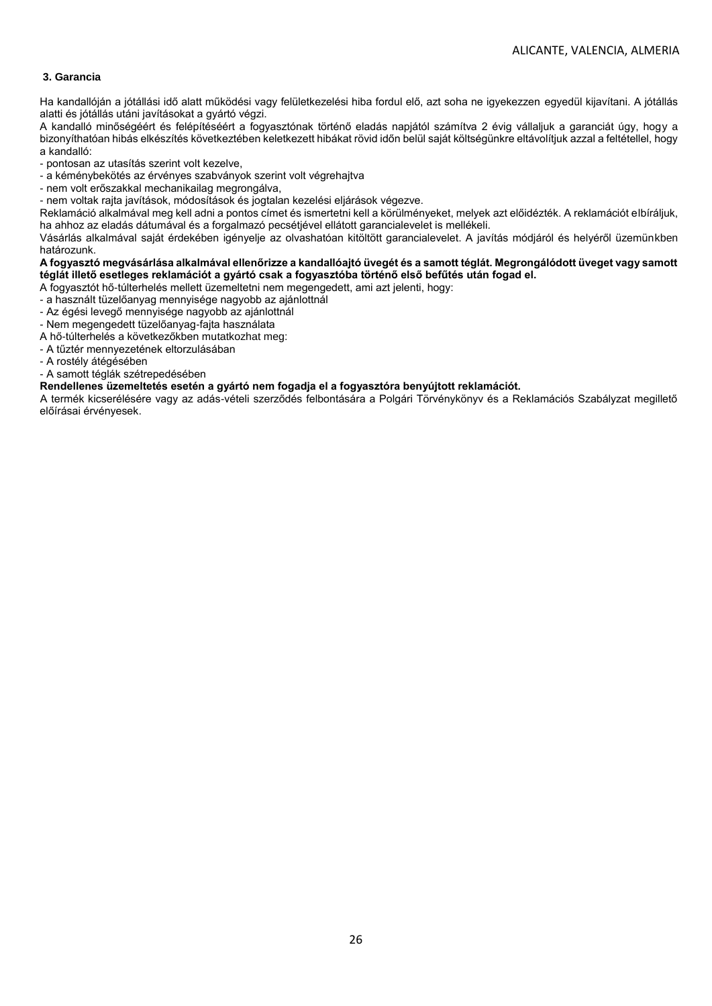## **3. Garancia**

Ha kandallóján a jótállási idő alatt működési vagy felületkezelési hiba fordul elő, azt soha ne igyekezzen egyedül kijavítani. A jótállás alatti és jótállás utáni javításokat a gyártó végzi.

A kandalló minőségéért és felépítéséért a fogyasztónak történő eladás napjától számítva 2 évig vállaljuk a garanciát úgy, hogy a bizonyíthatóan hibás elkészítés következtében keletkezett hibákat rövid időn belül saját költségünkre eltávolítjuk azzal a feltétellel, hogy a kandalló:

- pontosan az utasítás szerint volt kezelve,

- a kéménybekötés az érvényes szabványok szerint volt végrehajtva

- nem volt erőszakkal mechanikailag megrongálva,
- nem voltak rajta javítások, módosítások és jogtalan kezelési eljárások végezve.

Reklamáció alkalmával meg kell adni a pontos címet és ismertetni kell a körülményeket, melyek azt előidézték. A reklamációt elbíráljuk, ha ahhoz az eladás dátumával és a forgalmazó pecsétjével ellátott garancialevelet is mellékeli.

Vásárlás alkalmával saját érdekében igényelje az olvashatóan kitöltött garancialevelet. A javítás módjáról és helyéről üzemünkben határozunk.

## **A fogyasztó megvásárlása alkalmával ellenőrizze a kandallóajtó üvegét és a samott téglát. Megrongálódott üveget vagy samott téglát illető esetleges reklamációt a gyártó csak a fogyasztóba történő első befűtés után fogad el.**

- A fogyasztót hő-túlterhelés mellett üzemeltetni nem megengedett, ami azt jelenti, hogy:
- a használt tüzelőanyag mennyisége nagyobb az ajánlottnál
- Az égési levegő mennyisége nagyobb az ajánlottnál
- Nem megengedett tüzelőanyag-fajta használata
- A hő-túlterhelés a következőkben mutatkozhat meg: - A tűztér mennyezetének eltorzulásában
- A rostély átégésében
- 
- A samott téglák szétrepedésében

## **Rendellenes üzemeltetés esetén a gyártó nem fogadja el a fogyasztóra benyújtott reklamációt.**

A termék kicserélésére vagy az adás-vételi szerződés felbontására a Polgári Törvénykönyv és a Reklamációs Szabályzat megillető előírásai érvényesek.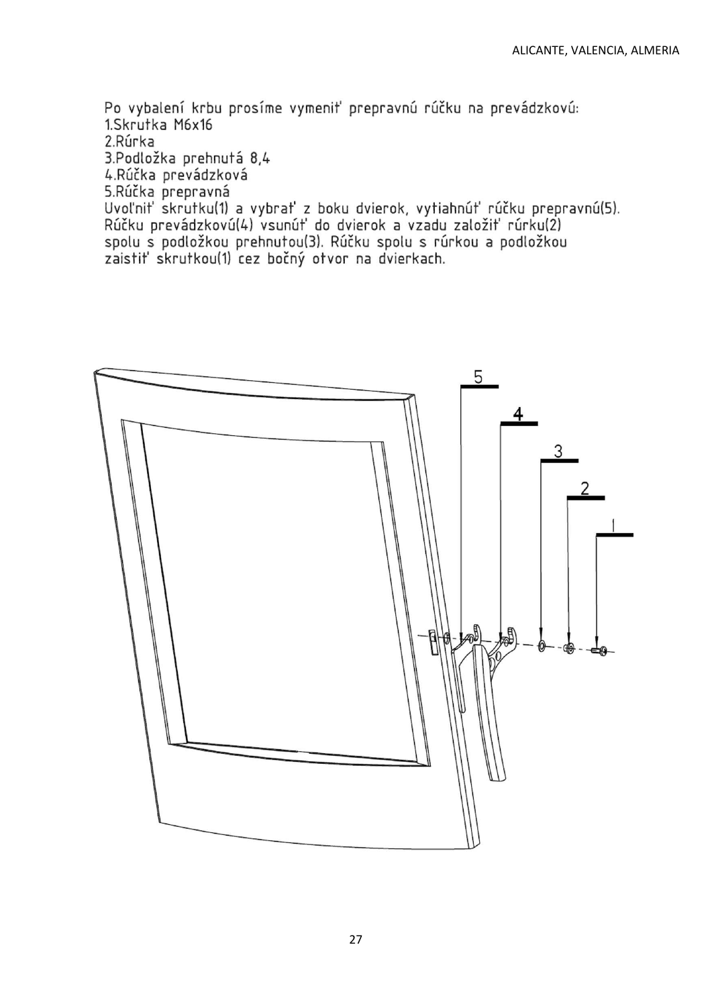Po vybalení krbu prosíme vymeniť prepravnú rúčku na prevádzkovú: 1.Skrutka M6x16 2 Rúrka 3.Podložka prehnutá 8,4 4.Rúčka prevádzková 5.Rúčka prepravná –<br>Uvoľniť skrutku(1) a vybrať z boku dvierok, vytiahnúť rúčku prepravnú(5).<br>Rúčku prevádzkovú(4) vsunúť do dvierok a vzadu založiť rúrku(2) spolu s podložkou prehnutou(3). Rúčku spolu s rúrkou a podložkou

zaistiť skrutkou(1) cez bočný otvor na dvierkach.

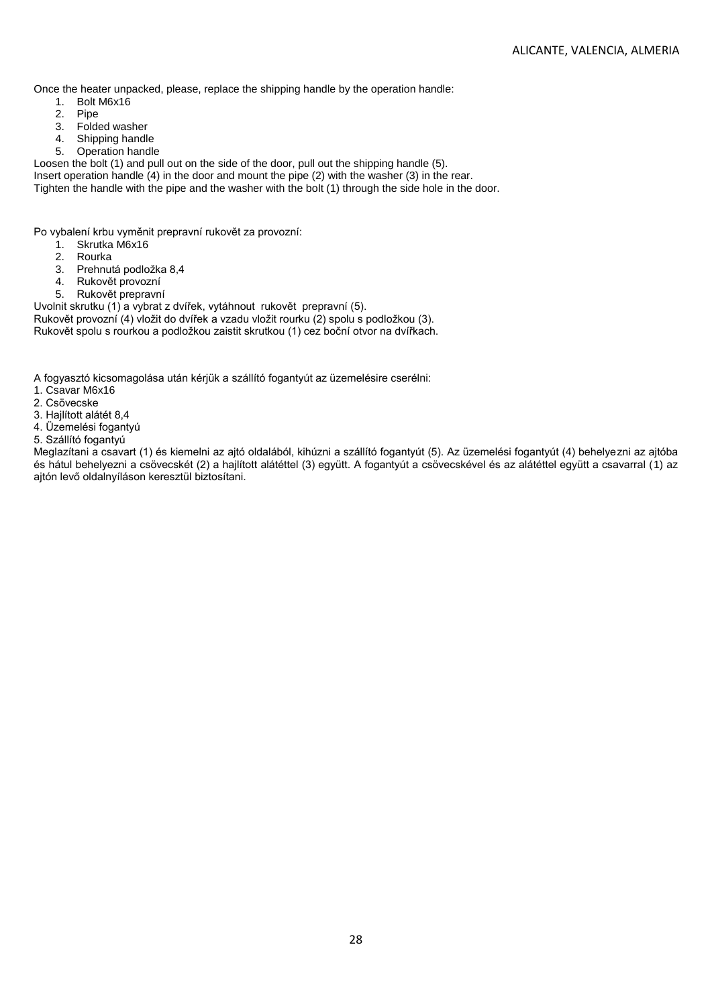Once the heater unpacked, please, replace the shipping handle by the operation handle:

- 1. Bolt M6x16<br>2. Pipe
- Pipe
- 3. Folded washer<br>4. Shipping handle
- Shipping handle
- 5. Operation handle

Loosen the bolt (1) and pull out on the side of the door, pull out the shipping handle (5).

Insert operation handle (4) in the door and mount the pipe (2) with the washer (3) in the rear.

Tighten the handle with the pipe and the washer with the bolt (1) through the side hole in the door.

Po vybalení krbu vyměnit prepravní rukovět za provozní:

- 1. Skrutka M6x16
- 2. Rourka
- 3. Prehnutá podložka 8,4
- 4. Rukovět provozní
- 5. Rukovět prepravní

Uvolnit skrutku (1) a vybrat z dvířek, vytáhnout rukovět prepravní (5). Rukovět provozní (4) vložit do dvířek a vzadu vložit rourku (2) spolu s podložkou (3).

Rukovět spolu s rourkou a podložkou zaistit skrutkou (1) cez boční otvor na dvířkach.

A fogyasztó kicsomagolása után kérjük a szállító fogantyút az üzemelésire cserélni:

- 1. Csavar M6x16
- 2. Csövecske
- 3. Hajlított alátét 8,4
- 4. Üzemelési fogantyú
- 5. Szállító fogantyú

Meglazítani a csavart (1) és kiemelni az ajtó oldalából, kihúzni a szállító fogantyút (5). Az üzemelési fogantyút (4) behelyezni az ajtóba és hátul behelyezni a csövecskét (2) a hajlított alátéttel (3) együtt. A fogantyút a csövecskével és az alátéttel együtt a csavarral (1) az ajtón levő oldalnyíláson keresztül biztosítani.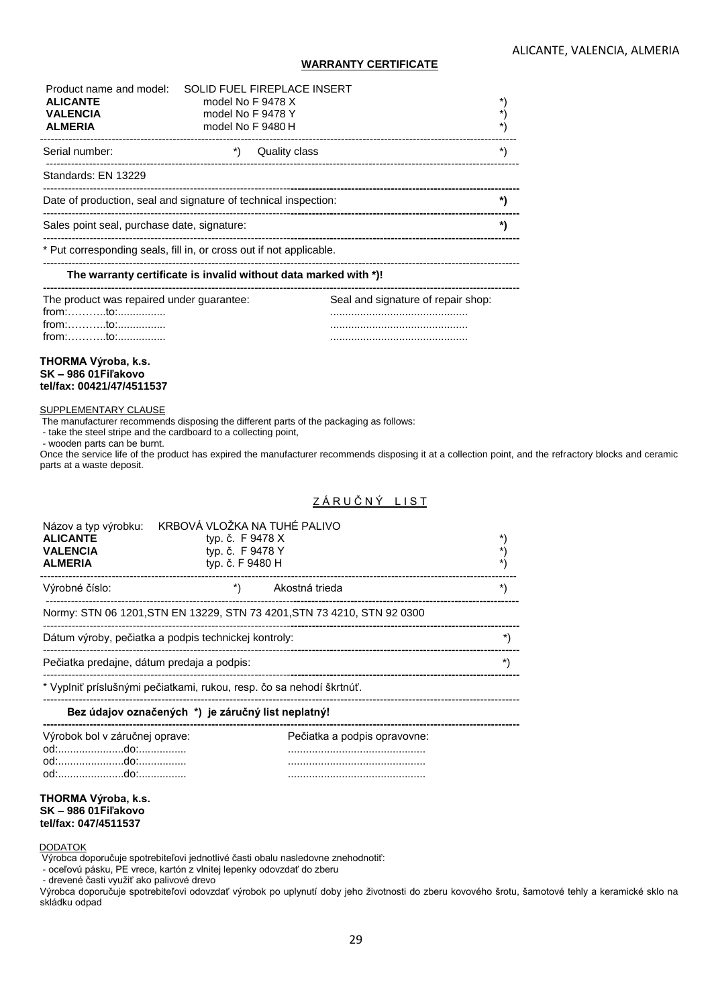### **WARRANTY CERTIFICATE**

| Product name and model:<br><b>ALICANTE</b><br><b>VALENCIA</b><br><b>ALMERIA</b>                    | SOLID FUEL FIREPLACE INSERT<br>model No F 9478 X<br>model No F 9478 Y<br>model No F 9480 H | *)                                 |  |
|----------------------------------------------------------------------------------------------------|--------------------------------------------------------------------------------------------|------------------------------------|--|
| Serial number:                                                                                     | Quality class                                                                              | *\                                 |  |
| Standards: EN 13229                                                                                |                                                                                            |                                    |  |
|                                                                                                    | Date of production, seal and signature of technical inspection:                            | *)                                 |  |
| Sales point seal, purchase date, signature:                                                        |                                                                                            | *)                                 |  |
|                                                                                                    | * Put corresponding seals, fill in, or cross out if not applicable.                        |                                    |  |
|                                                                                                    | The warranty certificate is invalid without data marked with *)!                           |                                    |  |
| The product was repaired under guarantee:<br>$from: \dots \dots \dots to: \dots \dots \dots \dots$ |                                                                                            | Seal and signature of repair shop: |  |

#### **THORMA Výroba, k.s. SK – 986 01Fiľakovo tel/fax: 00421/47/4511537**

## SUPPLEMENTARY CLAUSE

The manufacturer recommends disposing the different parts of the packaging as follows:

- take the steel stripe and the cardboard to a collecting point,

- wooden parts can be burnt.

Once the service life of the product has expired the manufacturer recommends disposing it at a collection point, and the refractory blocks and ceramic parts at a waste deposit.

## ZÁRUČNÝ LIST

| Názov a typ výrobku:<br><b>ALICANTE</b><br><b>VALENCIA</b><br><b>ALMERIA</b> | KRBOVÁ VLOŽKA NA TUHÉ PALIVO<br>typ. č. F 9478 X<br>typ. č. F 9478 Y<br>typ. č. F 9480 H | *\<br>*\<br>*)   |
|------------------------------------------------------------------------------|------------------------------------------------------------------------------------------|------------------|
| Výrobné číslo:                                                               | Akostná trieda                                                                           | $\left( \right)$ |
|                                                                              | Normy: STN 06 1201, STN EN 13229, STN 73 4201, STN 73 4210, STN 92 0300                  |                  |
|                                                                              | Dátum výroby, pečiatka a podpis technickej kontroly:                                     |                  |
| Pečiatka predajne, dátum predaja a podpis:                                   |                                                                                          |                  |
|                                                                              | * Vyplniť príslušnými pečiatkami, rukou, resp. čo sa nehodí škrtnúť.                     |                  |
|                                                                              | Bez údajov označených *) je záručný list neplatný!                                       |                  |
| Výrobok bol v záručnej oprave:                                               | Pečiatka a podpis opravovne:                                                             |                  |

#### **THORMA Výroba, k.s. SK – 986 01Fiľakovo tel/fax: 047/4511537**

#### **DODATOK**

Výrobca doporučuje spotrebiteľovi jednotlivé časti obalu nasledovne znehodnotiť:

- oceľovú pásku, PE vrece, kartón z vlnitej lepenky odovzdať do zberu

- drevené časti využiť ako palivové drevo

Výrobca doporučuje spotrebiteľovi odovzdať výrobok po uplynutí doby jeho životnosti do zberu kovového šrotu, šamotové tehly a keramické sklo na skládku odpad